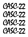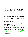# The CADE-22 ATP System Competition (CASC-22)

Geoff Sutcliffe University of Miami, USA

#### Abstract

The CADE ATP System Computer (CASC) evaluates the performance of sound, fully automatic, classical logic, ATP systems. The evaluation is in terms of the number of problems solved, the number of acceptable proofs and models produced, and the average runtime for problems solved, in the context of a bounded number of eligible problems chosen from the TPTP problem library, and a specified time limit for each solution attempt. The CADE-22 ATP System Competition (CASC-22) was held on 5th August 2009. The design of the competition and it's rules, and information regarding the competing systems, are provided in this report.

# 1 Introduction

The CADE conferences are the major forum for the presentation of new research in all aspects of automated deduction. In order to stimulate ATP research and system development, and to expose ATP systems within and beyond the ATP community, the CADE ATP System Competition (CASC) is held at each CADE conference. CASC-22 was held on 5th August 2009, as part of the 22nd International Conference on Automated Deduction (CADE-22), in Montreal, Canada. It is the fourteenth competition in the CASC series [\[SS97a,](#page-39-0) [SS98c,](#page-40-1) [SS99,](#page-40-2) [Sut00b,](#page-40-3) [Sut01b,](#page-40-4) [SSP02,](#page-40-5) [SS03,](#page-40-6) [SS04,](#page-40-7) [Sut05b,](#page-40-8) [Sut06b,](#page-40-9) [Sut07b,](#page-40-10) [Sut08b,](#page-40-11) [Sut09a\]](#page-40-12).

CASC evaluates the performance of sound, fully automatic, classical logic, ATP systems. The evaluation is in terms of:

- the number of problems solved,
- the number of acceptable proofs and models produced, and
- the average runtime for problems solved;

in the context of:

- a bounded number of eligible problems, chosen from the TPTP problem library [\[Sut09b\]](#page-40-13), and
- specified time limits on solution attempts.

Twenty-six ATP systems and variants, listed in Table [1,](#page-3-0) entered into the various competition and demonstration divisions. The winners of the CASC-J4 (the previous CASC) divisions were automatically entered into those divisions, to provide benchmarks against which progress can be judged (the competition archive provides access to the systems' executables and source code). *For CASC-22 the CASC-J4 SAT winner, MetaProver 1.0, could not be entered because some of its component systems would not compile on the CASC-22 computers. Also, the CASC-J4 LTB winner, SInE 0.3, required some slight modifications because the LTB division rules had changed, thus the modified version SInE 0.4 was entered.*

The design and procedures of this CASC evolved from those of previous CASCs [\[SS97c,](#page-39-1) [SS97b,](#page-39-2) [SS98a,](#page-39-3) [SS98b,](#page-40-14) [Sut99,](#page-40-15) [Sut00a,](#page-40-16) [Sut01a,](#page-40-17) [Sut02,](#page-40-18) [Sut03,](#page-40-19) [Sut04,](#page-40-20) [Sut05a,](#page-40-21) [Sut06a,](#page-40-22) [Sut07a,](#page-40-23) [Sut08a\]](#page-40-0). Important changes for this CASC were:

• All problem files were in TPTP format, with include directives. Systems had to add equality axioms themselves if necessary.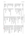<span id="page-3-0"></span>

| Joe Hurd<br>Jens Otten (Thomas Raths)<br>Peter B. Andrews<br>Hao Xu (David Plaisted)<br>Makarius Wenzel, Stefan Berghofer)<br>Jasmin Blanchette<br>Andrei Voronkov (Krystof Hoder)<br>CASC<br>Wilmer Ricciotti<br>Christoph Benzmüller (Frank Theiss)<br>Jens Otten<br>Konstantin Korovin (Christoph Sticksel)<br>CASC<br>(Chad E. Brown)<br>CASC<br>CASC<br>CASC (William McCune)<br>(Larry Paulson, Tobias Nipkow,<br><b>Thomas Hillenbrand</b><br>$leancOP$ 2.1 variant<br>University of Potsdam<br>Max Planck Institut für Informatik<br>The University of Manchester<br>(Saarland University)<br>CASC (Argonne National Laboratory)<br>Galois, Inc.<br>International University in Germany<br>(Paulson: University of Cambridge)<br>Technische Universität München<br>The University of Manchester<br>iProver 0.7 variant<br>CASC-J4 UEQ winner<br>$CASC$ -J4 $FOF^*$ and $CNF$ winner<br>Carnegie Mellon University<br>University of N. Carolina at Chapel Hill<br>University of Bologna<br>$CASC$ -J4 LTB* winner<br>$CASC$ -J4 $FNT^*$ winner, SAT runner-up | FOF* CNF<br>FOF CNF UEQ<br>FOF CNF EPR<br>FOF* CNF UEQ LTB*<br>HH<br>FNT <sup>*</sup> SAT<br>FOF* FNT* CNF SAT EPR UEQ<br><b>UEQ</b><br>FOF*<br><b>DEQ</b><br>LTB*<br>THT<br>LTB<br>UEQ | Waldmeister 806<br>Vampire 10.0<br>TPS 3.20080227G1d<br>SInE 0.4<br>Paradox 3.0<br>Otter 3.3<br><b>OSHL-S0.6</b><br>Metis 2.2<br>matita 0.5.7<br>leanCoP-SInE 2.1<br>Waldmeister C09a<br>Vampire 11.0<br>leanCoP <sub>2.1</sub><br><b>LEO-II 1.0</b> |
|----------------------------------------------------------------------------------------------------------------------------------------------------------------------------------------------------------------------------------------------------------------------------------------------------------------------------------------------------------------------------------------------------------------------------------------------------------------------------------------------------------------------------------------------------------------------------------------------------------------------------------------------------------------------------------------------------------------------------------------------------------------------------------------------------------------------------------------------------------------------------------------------------------------------------------------------------------------------------------------------------------------------------------------------------------------------|-----------------------------------------------------------------------------------------------------------------------------------------------------------------------------------------|------------------------------------------------------------------------------------------------------------------------------------------------------------------------------------------------------------------------------------------------------|
|                                                                                                                                                                                                                                                                                                                                                                                                                                                                                                                                                                                                                                                                                                                                                                                                                                                                                                                                                                                                                                                                      |                                                                                                                                                                                         |                                                                                                                                                                                                                                                      |
|                                                                                                                                                                                                                                                                                                                                                                                                                                                                                                                                                                                                                                                                                                                                                                                                                                                                                                                                                                                                                                                                      |                                                                                                                                                                                         |                                                                                                                                                                                                                                                      |
|                                                                                                                                                                                                                                                                                                                                                                                                                                                                                                                                                                                                                                                                                                                                                                                                                                                                                                                                                                                                                                                                      |                                                                                                                                                                                         |                                                                                                                                                                                                                                                      |
|                                                                                                                                                                                                                                                                                                                                                                                                                                                                                                                                                                                                                                                                                                                                                                                                                                                                                                                                                                                                                                                                      |                                                                                                                                                                                         |                                                                                                                                                                                                                                                      |
|                                                                                                                                                                                                                                                                                                                                                                                                                                                                                                                                                                                                                                                                                                                                                                                                                                                                                                                                                                                                                                                                      |                                                                                                                                                                                         |                                                                                                                                                                                                                                                      |
|                                                                                                                                                                                                                                                                                                                                                                                                                                                                                                                                                                                                                                                                                                                                                                                                                                                                                                                                                                                                                                                                      |                                                                                                                                                                                         |                                                                                                                                                                                                                                                      |
|                                                                                                                                                                                                                                                                                                                                                                                                                                                                                                                                                                                                                                                                                                                                                                                                                                                                                                                                                                                                                                                                      |                                                                                                                                                                                         |                                                                                                                                                                                                                                                      |
|                                                                                                                                                                                                                                                                                                                                                                                                                                                                                                                                                                                                                                                                                                                                                                                                                                                                                                                                                                                                                                                                      |                                                                                                                                                                                         |                                                                                                                                                                                                                                                      |
|                                                                                                                                                                                                                                                                                                                                                                                                                                                                                                                                                                                                                                                                                                                                                                                                                                                                                                                                                                                                                                                                      |                                                                                                                                                                                         |                                                                                                                                                                                                                                                      |
|                                                                                                                                                                                                                                                                                                                                                                                                                                                                                                                                                                                                                                                                                                                                                                                                                                                                                                                                                                                                                                                                      |                                                                                                                                                                                         |                                                                                                                                                                                                                                                      |
|                                                                                                                                                                                                                                                                                                                                                                                                                                                                                                                                                                                                                                                                                                                                                                                                                                                                                                                                                                                                                                                                      |                                                                                                                                                                                         |                                                                                                                                                                                                                                                      |
|                                                                                                                                                                                                                                                                                                                                                                                                                                                                                                                                                                                                                                                                                                                                                                                                                                                                                                                                                                                                                                                                      |                                                                                                                                                                                         |                                                                                                                                                                                                                                                      |
|                                                                                                                                                                                                                                                                                                                                                                                                                                                                                                                                                                                                                                                                                                                                                                                                                                                                                                                                                                                                                                                                      |                                                                                                                                                                                         |                                                                                                                                                                                                                                                      |
|                                                                                                                                                                                                                                                                                                                                                                                                                                                                                                                                                                                                                                                                                                                                                                                                                                                                                                                                                                                                                                                                      |                                                                                                                                                                                         |                                                                                                                                                                                                                                                      |
|                                                                                                                                                                                                                                                                                                                                                                                                                                                                                                                                                                                                                                                                                                                                                                                                                                                                                                                                                                                                                                                                      |                                                                                                                                                                                         |                                                                                                                                                                                                                                                      |
|                                                                                                                                                                                                                                                                                                                                                                                                                                                                                                                                                                                                                                                                                                                                                                                                                                                                                                                                                                                                                                                                      |                                                                                                                                                                                         |                                                                                                                                                                                                                                                      |
|                                                                                                                                                                                                                                                                                                                                                                                                                                                                                                                                                                                                                                                                                                                                                                                                                                                                                                                                                                                                                                                                      |                                                                                                                                                                                         |                                                                                                                                                                                                                                                      |
|                                                                                                                                                                                                                                                                                                                                                                                                                                                                                                                                                                                                                                                                                                                                                                                                                                                                                                                                                                                                                                                                      | THT                                                                                                                                                                                     | Isabelle/HOL 2009                                                                                                                                                                                                                                    |
|                                                                                                                                                                                                                                                                                                                                                                                                                                                                                                                                                                                                                                                                                                                                                                                                                                                                                                                                                                                                                                                                      | FOF CNF UEQ                                                                                                                                                                             | iProver-Eq 0.5                                                                                                                                                                                                                                       |
|                                                                                                                                                                                                                                                                                                                                                                                                                                                                                                                                                                                                                                                                                                                                                                                                                                                                                                                                                                                                                                                                      | LTB                                                                                                                                                                                     | iProver-SInE 0.7                                                                                                                                                                                                                                     |
| Konstantin Korovin<br>The University of Manchester                                                                                                                                                                                                                                                                                                                                                                                                                                                                                                                                                                                                                                                                                                                                                                                                                                                                                                                                                                                                                   | FOF FNT CNF SAT EPR                                                                                                                                                                     | iProver 0.7                                                                                                                                                                                                                                          |
| CASC<br>CASC-J4 EPR winner                                                                                                                                                                                                                                                                                                                                                                                                                                                                                                                                                                                                                                                                                                                                                                                                                                                                                                                                                                                                                                           | ЯЯ                                                                                                                                                                                      | iProver 0.5                                                                                                                                                                                                                                          |
| Ann Lillieström (Koen Claessen)<br>Chalmers University of Technology                                                                                                                                                                                                                                                                                                                                                                                                                                                                                                                                                                                                                                                                                                                                                                                                                                                                                                                                                                                                 | FNT demo SAT demo                                                                                                                                                                       | Infinox 1.0                                                                                                                                                                                                                                          |
| Koen Claessen<br>Chalmers University of Technology                                                                                                                                                                                                                                                                                                                                                                                                                                                                                                                                                                                                                                                                                                                                                                                                                                                                                                                                                                                                                   | FOF CNF UEQ                                                                                                                                                                             | Equinox 1.0                                                                                                                                                                                                                                          |
| Björn Pelzer<br>University Koblenz-Landau                                                                                                                                                                                                                                                                                                                                                                                                                                                                                                                                                                                                                                                                                                                                                                                                                                                                                                                                                                                                                            | FOF FNT CNF SAT EPR LTB                                                                                                                                                                 | E-KRHyper 1.1.3                                                                                                                                                                                                                                      |
| Björn Pelzer<br>University Koblenz-Landau                                                                                                                                                                                                                                                                                                                                                                                                                                                                                                                                                                                                                                                                                                                                                                                                                                                                                                                                                                                                                            | <b>CNF EPR</b>                                                                                                                                                                          | E-Darwin 1.2                                                                                                                                                                                                                                         |
| $E$ 1.1 variant                                                                                                                                                                                                                                                                                                                                                                                                                                                                                                                                                                                                                                                                                                                                                                                                                                                                                                                                                                                                                                                      | FOF* LTB                                                                                                                                                                                | ED 1.1                                                                                                                                                                                                                                               |
| Stephan Schulz<br>Technische Universität München                                                                                                                                                                                                                                                                                                                                                                                                                                                                                                                                                                                                                                                                                                                                                                                                                                                                                                                                                                                                                     | FOF FNT CNF SAT EPR UEQ LTB                                                                                                                                                             | E1.1                                                                                                                                                                                                                                                 |
| (Alexander Fuchs, Cesare Tinelli)<br>(University of Iowa)                                                                                                                                                                                                                                                                                                                                                                                                                                                                                                                                                                                                                                                                                                                                                                                                                                                                                                                                                                                                            |                                                                                                                                                                                         |                                                                                                                                                                                                                                                      |
| Peter Baumgartner<br>NICTA                                                                                                                                                                                                                                                                                                                                                                                                                                                                                                                                                                                                                                                                                                                                                                                                                                                                                                                                                                                                                                           | EPR                                                                                                                                                                                     | Darwin 1.4.4                                                                                                                                                                                                                                         |
| Entrants<br><b>Affiliation</b>                                                                                                                                                                                                                                                                                                                                                                                                                                                                                                                                                                                                                                                                                                                                                                                                                                                                                                                                                                                                                                       | Divisions                                                                                                                                                                               | ATP System                                                                                                                                                                                                                                           |

Table 1: TheATP systems and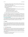- The obfuscation of problem files changed. Predicate and function symbols names were not renamed to meaningless symbols. The arguments of associative connectives were randomly swapped, and implications were randomly reversed.
- An efficiency measure was been added to the results.
- Systems were explicitly encouraged to use the SZS standards for result status and output, and to produce solutions in TPTP format.
- In the LTB division:
	- Each batch specification file listed the include files that were used in every problem, to facilitate preloading and analysis of those files.
	- The problems had to be attempted in the batch order, and systems had to report when they start and end their attempt on each problem.
	- Prelearning of generally useful strategies was acceptable.
	- The +6 versions of the CYC problems were eligible for use.
- The THF (Typed Higher-order Form) demonstration division was added.

The competition organizer was Geoff Sutcliffe, assisted by Martin Suda. The competition was overseen by a panel of knowledgeable researchers who were not participating in the event; the CASC-22 panel members were Uli Furbach, William McCune, and Christoph Weidenbach. The CASC rules, specifications, and deadlines are absolute. Only the panel has the right to make exceptions. The competition was run on computers provided by the Max-Planck-Insitut für Informatik, Saarbrücken, Germany. The CASC-22 web site provides access to resources used before, during, and after the event: <http://www.tptp.org/CASC/22>

It is assumed that each entrant has read the web pages related to the competition, and has complied with the competition rules. Non-compliance with the rules could lead to disqualification. A "catch-all" rule is used to deal with any unforseen circumstances: *No cheating is allowed*. The panel is allowed to disqualify entrants due to unfairness, and to adjust the competition rules in case of misuse.

# <span id="page-4-0"></span>2 Divisions

CASC is run in divisions according to problem and system characteristics. There are *competition* divisions in which systems are explicitly ranked, and a *demonstration* division in which systems demonstrate their abilities without being formally ranked. Some divisions are further divided into problem categories, which make it possible to analyze, at a more fine grained level, which systems work well for what types of problems. The problem categories have no effect on the competition rankings, which are made at only the division level.

## 2.1 The Competition Divisions

The competition divisions are open to ATP systems that meet the required system properties described in Section [6.1.](#page-10-0) Systems that rely essentially on running other ATP systems without adding value are deprecated; the competition panel may disallow or move such systems to the demonstration division.

Each competition division uses problems that have certain logical, language, and syntactic characteristics, so that the ATP systems that compete in the division are, in principle, able to attempt all the problems in the division.

The FOF division: First-Order Form non-propositional theorems (axioms with a provable conjecture). The FOF division has two problem categories:

• The FNE category: FOF with No Equality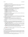• The **FEQ** category: FOF with Equality

The FNT division: First-order form non-propositional Non-Theorems (axioms with an unprovable conjecture, and satisfiable axioms sets). The FNT division has two problem categories:

- The FNN category: FNT with no Equality
- The FNQ category: FNT with Equality

The CNF division: Clause Normal Form really non-propositional theorems (unsatisfiable clause sets), but not unit equality problems (see the UEQ division below). *Really non-propositional* means with an infinite Herbrand universe. The CNF division has five problem categories:

- The HNE category: Horn with No Equality
- The **HEO** category: Horn with some (but not pure) Equality
- The NNE category: Non-Horn with No Equality
- The NEQ category: Non-Horn with some (but not pure) Equality
- The **PEQ** category: Pure Equality

The SAT division: Clause normal form really non-propositional non-theorems (SATisfiable clause sets). The SAT division has two problem categories:

- The **SNE** category: **SAT** with No Equality
- The **SEO** category: SAT with Equality

The EPR division: Effectively PRopositional clause normal form theorems and non-theorems (clause sets). *Effectively propositional* means non-propositional with a finite Herbrand Universe. The EPR division has two problem categories:

- The EPT category: Effectively Propositional Theorems (unsatisfiable clause sets)
- The EPS category: Effectively Propositional non-theorems (Satisfiable clause sets)

The UEQ division: Unit EQuality clause normal form really non-propositional theorems (unsatisfiable clause sets).

The LTB division: First-order form non-propositional theorems (axioms with a provable conjecture) from Large Theories, presented in Batches. The LTB division has three problem categories:

- The CYC category: Problems taken from the Cyc contribution to the CSR domain of the TPTP. These are problems CSR025 to CSR074.
- The MZR category: Problems taken from the Mizar Problems for Theorem Proving (MPTP) contribution to the TPTP. These are problems ALG214 to ALG234, CAT021 to CAT037, GRP618 to GRP653, LAT282 to LAT380, SEU406 to SEU451, and TOP023 to TOP048.
- The SMO category: Problems taken from the Suggested Upper Merged Ontology (SUMO) contribution to the CSR domain of the TPTP. These are problems CSR075 to CSR109.

Section [3.2](#page-6-0) explains what problems are eligible for use in each division and category. Section [4](#page-8-0) explains how the systems are ranked in each division.

# 2.2 The Demonstration Division

ATP systems that cannot run in the competition divisions for any reason can be entered into the demonstration division. Demonstration division systems can run on the competition computers, or the computers can be supplied by the entrant. Computers supplied by the entrant may be brought to CASC, or may be accessed via the internet.

The entry specifies which competition divisions' problems are to be used. In addition to the competition divisions, for CASC-22 there is an additional demonstration division: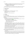- The THF division: Typed Higher-order Form non-propositional theorems (axioms with a provable conjecture), using only the THF0 syntax. The THF division has two problem categories:
	- The TNE category: THF with No Equality
	- The TEQ category: THF with EQuality

The demonstration division results are presented along with the competition divisions' results, but may not be comparable with those results. The systems are not ranked and no prizes are awarded.

# 3 Infrastructure

## <span id="page-6-1"></span>3.1 Computers

The competition computers were Dual-Opteron computers, each having:

- AMD Opteron(tm) Processor 250, 2390MHz CPU
- 4GB memory
- Linux 2.6.27.10.1.amd64-smp operating system

## <span id="page-6-0"></span>3.2 Problems

## 3.2.1 Problem Selection

The problems were from the TPTP problem library, version v4.0.0. The TPTP version used for the competition is not released until after the system delivery deadline, so that new problems have not seen by the entrants.

The problems have to meet certain criteria to be eligible for selection:

- The TPTP uses system performance data to compute problem difficulty ratings, and from the ratings classifies problems as one of [\[SS01\]](#page-40-24):
	- Easy: Solvable by all state-of-the-art ATP systems
	- Difficult: Solvable by some state-of-the-art ATP systems
	- Unsolved: Solvable by no ATP systems
	- Open: Theoremhood unknown

Difficult problems with a rating in the range 0.21 to 0.99 are eligible. Problems of lesser and greater difficulty ratings might also be eligible in some divisions (especially the LTB division, because the TPTP problem ratings are computed from sequential mode results). Performance data from systems submitted by the system submission deadline is used for computing the problem ratings for the TPTP version used for the competition.

- The TPTP distinguishes versions of problems as one of standard, incomplete, augmented, especial, or biased. All except biased problems are eligible.
- In the LTB division, the problems are selected so that there is consistent symbol usage between problems in each category, but there may not be consistent axiom naming between problems.

The problems used are randomly selected from the eligible problems at the start of the competition, based on a seed supplied by the competition panel.

- The selection is constrained so that no division or category contains an excessive number of very similar problems.
- The selection mechanism is biased to select problems that are new in the TPTP version used, until 50% of the problems in each category have been selected, after which random selection (from old and new problems) continues. The actual percentage of new problems used depends on how many new problems are eligible and the limitation on very similar problems.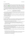#### 3.2.2 Number of Problems

The minimal numbers of problems that have to be used in each division and category, to ensure sufficient confidence in the competition results, are determined from the numbers of eligible problems in each division and category [\[GS96\]](#page-38-0) (the competition organizers have to ensure that there is sufficient CPU time available to run the ATP systems on this minimal number of problems). The minimal numbers of problems is used in determining the CPU time limit imposed on each solution attempt - see Section [3.3.](#page-8-1)

A lower bound on the total number of problems to be used is determined from the number of computers available, the time allocated to the competition, the number of ATP systems to be run on the competition computers over all the divisions, and the CPU time limit, according to the following relationship:

> *NumberO f Problems* <sup>=</sup> *NumberO fComputers* <sup>∗</sup>*TimeAllocated NumberO f AT PSystems* ∗*CPUTimeLimit*

It is a lower bound on the total number of problems because it assumes that every system uses all of the CPU time limit for each problem. Since some solution attempts succeed before the CPU time limit is reached, more problems can be used.

The numbers of problems used in the categories in the various divisions is (roughly) proportional to the numbers of eligible problems than can be used in the categories, after taking into account the limitation on very similar problems.

The numbers of problems used in each division and category are determined according to the judgement of the competition organizers.

#### 3.2.3 Problem Preparation

The problems are in TPTP format, with include directives (included files are found relative to the TPTP environment variable). In order to ensure that no system receives an advantage or disadvantage due to the specific presentation of the problems in the TPTP, the problems are preprocessed to:

- strip out all comment lines, including the problem header
- randomly reorder the formulae/clauses (the include directives are left before the formulae, and in the THF division all symbols' type declarations are kept before the symbols' use)
- randomly swap the arguments of associative connectives, and randomly reverse implications
- randomly reverse equalities

In order to prevent systems from recognizing problems from their file names, symbolic links are made to the selected problems, using names of the form CCCNNN-1.p for the symbolic links, with NNN running from 001 to the number of problems in the respective division or category. The problems are specified to the ATP systems using the symbolic link names.

In the demonstration division the same problems are used as for the competition divisions, with the same preprocessing applied. However, the original file names can be retained for systems running on computers provided by the entrant.

In the LTB division, the problems for each category are listed in a *batch specification file*, containing:

- A header line % SZS start BatchIncludes
- include directives that are used in every problem (problems in the batch have all these include directives, and can also have other  $iTT$ *i*nclude $i/TT$ *i* directives that are not listed here)
- A terminating line % SZS end BatchIncludes
- A header line % SZS start BatchProblems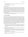- Pairs of absolute problem file names, and absolute output file names where the output for the problem must be written.
- A terminator line % SZS end BatchProblems

# <span id="page-8-1"></span>3.3 Resource Limits

CPU and wall clock time limits are imposed. A minimal CPU time limit of 240 seconds per problem is used. The maximal CPU time limit per problem is determined using the relationship used for determining the number of problems, with the minimal number of problems as the *NumberO f Problems*. The CPU time limit is chosen as a reasonable value within the range allowed, and is announced at the competition. The wall clock time limit is imposed in addition to the CPU time limit, to limit very high memory usage that causes swapping. The wall clock time limit is double the CPU time limit. In the non-LTB competition divisions the time limits are imposed individually on each solution attempt. In the LTB division the aggregated time limits (the individual time limits multiplied by the number of problems) are imposed on each category.

In the demonstration division, each entrant can choose to use either a CPU or a wall clock time limit, whose value is the CPU time limit of the competition divisions.

# <span id="page-8-0"></span>4 System Evaluation

For each ATP system, for each problem, three items of data are recorded: whether or not a solution was found, the CPU time taken, and whether or not a solution (proof or model) was output on stdout. The systems are ranked at the division level from this performance data. All the divisions have an assurance ranking class, ranked according to the number of problems solved (a "yes" output, giving an assurance of the existence of a proof/model). The FOF, FNT, and LTB divisions additionally have a proof/model ranking class, ranked according to the number of problems solved with an acceptable proof/model output. Ties are broken according to the average CPU time over problems solved (in the LTB division, time spent before starting the first problem, and time spent between ending a problem and starting the next, is not considered for this measure). All systems are automatically ranked in the assurance classes, and are ranked in the proof/model classes if they output acceptable proofs/models. A system that wins a proof/model ranking class might also win the corresponding assurance ranking class. In the competition divisions class winners are announced and prizes are awarded.

• Articulate Software has provided \$3000 of prize money for the SMO category of the LTB division. In each ranking class the winner will receive \$750, the second place \$500, and the third place \$250. (Employees of Articulate Sofware, its subcontractors, and funded partners, are not eligible for this prize money.)

The competition panel decides whether or not the systems' proofs and models are acceptable for the proof/model ranking classes. The criteria include:

- Derivations must be complete, starting at formulae from the problem, and ending at the conjecture (for axiomatic proofs) or a *f alse* formula (for proofs by contradiction, including CNF refutations).
- For proofs of FOF problems by CNF refutation, the conversion from FOF to CNF must be adequately documented.
- Derivations must show only relevant inference steps.
- Inference steps must document the parent formulae, the inference rule used, and the inferred formula.
- Inference steps must be reasonably fine-grained.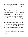- In the LTB division the proofs must be in TPTP format.
- An unsatisfiable set of ground instances of clauses is acceptable for establishing the unsatisfiability of a set of clauses.
- Models must be complete, documenting the domain, function maps, and predicate maps. The domain, function maps, and predicate maps may be specified by explicit ground lists (of mappings), or by any clear, terminating algorithm.

In the assurance ranking classes the ATP systems are not required to output solutions (proofs or models). However, systems that do output solutions to stdout are highlighted in the presentation of results.

In addition to the ranking criteria, two other measures are made and presented in the results: The *state-of-the-art contribution* (SOTAC) quantifies the unique abilities of the systems. For each problem solved by a system, its SOTAC for the problem is the inverse of the number of systems that solved the problem, and a system's overall SOTAC is the average SOTAC over the problems it solves. The *efficiency measure* balances the number of problems solved with the CPU time taken. It is the fraction of problems solved divided by the average CPU time for problems solved. This can be interpreted intuitively as the solution rate (for problems solved) multiplied by the fraction of problems solved.

At some time after the competition, all high ranking systems in each division are tested over the entire TPTP. This provides a final check for soundness (see Section [6.1](#page-10-0) regarding soundness checking before the competition). If a system is found to be unsound during or after the competition, but before the competition report is published, and it cannot be shown that the unsoundness did not manifest itself in the competition, then the system is retrospectively disqualified. At some time after the competition, the proofs and models from the winners of the proof/model ranking classes are checked by the panel. If any of the proofs or models are unacceptable, i.e., they are significantly worse than the samples provided, then that system is retrospectively disqualified. All disqualifications are explained in the competition report.

# 5 System Entry

To be entered into CASC, systems have to be registered using the CASC system registration form. No registrations are accepted after the registration deadline. For each system entered, an entrant has to be nominated to handle all issues (including execution difficulties) arising before and during the competition. The nominated entrant must formally register for CASC. However, it is not necessary for entrants to physically attend the competition.

Systems can be entered at only the division level, and can be entered into more than one division (a system that is not entered into a competition division is assumed to perform worse than the entered systems, for that type of problem - wimping out is not an option). Entering many similar versions of the same system is deprecated, and entrants may be required to limit the number of system versions that they enter. The division winners from the previous CASC are automatically entered into their divisions, to provide benchmarks against which progress can be judged.

## 5.1 System Description

A system description has to be provided for each ATP system entered, using the HTML schema supplied on the CASC web site. The schema has the following sections:

• Architecture. This section introduces the ATP system, and describes the calculus and inference rules used.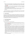- Strategies. This section describes the search strategies used, why they are effective, and how they are selected for given problems. Any strategy tuning that is based on specific problems' characteristics must be clearly described (and justified in light of the tuning restrictions described in Section [6.1\)](#page-10-0).
- Implementation. This section describes the implementation of the ATP system, including the programming language used, important internal data structures, and any special code libraries used. The availability of system is described here.
- Expected competition performance. This section makes some predictions about the performance of the ATP system in each of the divisions and categories in which it is competing.
- References.

The system description has to be emailed to the competition organizers by the system description deadline. The system descriptions, along with information regarding the competition design and procedures, form the proceedings for the competition.

# 5.2 Sample Solutions

For systems in the proof/model classes, representative sample solutions must be emailed to the competition organizers before the sample solutions deadline. Use of the TPTP format for proofs and finite interpretations is encouraged. Proof samples for the FOF and LTB proof classes must include a proof for SYN075+1. Model samples for the FNT model class must include models for MGT019+2 and SWV010+1. The sample solutions must illustrate the use of all inference rules. A key must be provided if any nonobvious abbreviations for inference rules or other information are used.

# 6 System Requirements

# <span id="page-10-0"></span>6.1 System Properties

Systems are required to have the following properties:

- Systems have to run on a single locally provided standard UNIX computer (the *competition computers* - see Section [3.1\)](#page-6-1). ATP systems that cannot run on the competition computers can be entered into the demonstration division.
- Systems must be fully automatic, i.e., any command line switches have to be the same for all problems in each division.
- Systems must be sound. At some time before the competition all the systems in the competition divisions are tested for soundness. Non-theorems are submitted to the systems in the FOF, CNF, EPR, UEQ, and LTB divisions, and theorems are submitted to the systems in the FNT, SAT and EPR divisions. Finding a proof of a non-theorem or a disproof of a theorem indicates unsoundness. If a system fails the soundness testing it must be repaired by the unsoundness repair deadline or be withdrawn. The soundness testing eliminates the possibility of a system simply delaying for some amount of time and then claiming to have found a solution. At some time after the competition, all high ranking systems in the competition divisions are tested over the entire TPTP. This provides a final check for soundness. For systems running on entrant supplied computers in the demonstration division, the entrant must perform the soundness testing and report the results to the competition organizers.
- Systems do not have to be complete in any sense, including calculus, search control, implementation, or resource requirements.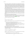- Systems must be executable by a single command line, using an absolute path name for the executable, which might not be in the current directory. In the non-LTB divisions the command line arguments are the absolute path name of a symbolic link as the problem file name, the time limit (if required by the entrant), and entrant specified system switches. In the LTB division the command line arguments are the absolute path name of the batch specification file, the aggregated batch time limit (if required by the entrant), and entrant specified system switches. No shell features, such as input or output redirection, may be used in the command line. No assumptions may be made about the format of the problem file name.
- The systems that run on the competition computers have to be interruptable by a SIGXCPU signal, so that the CPU time limit can be imposed, and interruptable by a SIGALRM signal, so that the wall clock time limit can be imposed. For systems that create multiple processes, the signal is sent first to the process at the top of the hierarchy, then one second later to all processes in the hierarchy. The default action on receiving these signals is to exit (thus complying with the time limit, as required), but systems may catch the signals and exit of their own accord. If a system runs past a time limit this is noticed in the timing data, and the system is considered to have not solved that problem.
- In the non-LTB divisions all solution output must be to stdout. In the LTB division all solution output must be to the named output file for each problem.
- For each problem, the systems have to output a distinguished string (specified by the entrant), indicating what solution has been found or that no conclusion has been reached. The distinguished strings should use the SZS ontology and standards [\[Sut08c\]](#page-40-25). For example

```
SZS status Unsatisfiable for SYN075+1
```
or

...

SZS status GaveUp for SYN075+1

Regardless of whether the SZS status values are used, the distinguished strings must be different for:

- Proved theorems of FOF problems (SZS status Theorem)
- Disproved conjectures of FNT problems (SZS status CounterSatisfiable)
- Unsatisfiable sets of formulae (FOF problems without conjectures) and unsatisfiable set of clauses (CNF problems) (SZS status Unsatisfiable)
- Satisfiable sets of formulae (FNT problems without conjectures) and satisfiable set of clauses (SAT problems) (SZS status Satisfiable)

The first distinguished string output is accepted as the system's result.

• When outputing proofs/models, the start and end of the proof/model must be delimited by distinguished strings (specified by the entrant). The distinguished strings should use the SZS ontology and standards. For example

SZS output start CNFRefutation for SYN075-1

SZS output end CNFRefutation for SYN075-1

Regardless of whether the SZS output forms are used, the distinguished strings must be different for:

- Proofs (SZS output forms Proof, Refutation, CNFRefutation)
- Models (SZS output forms Model, FiniteModel, InfiniteModel, Saturation)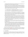The string specifying the problem status must be output before the start of a proof/model. Use of the TPTP format for proofs and finite interpretations is encouraged.

• In the LTB division the systems must attempt the problems in the order given in the batch specification file - systems may not start any attempt on a problem before ending the attempt on the preceding problem. The systems must print SZS notification lines to stdout when starting and ending all work (including cleanup work at the end) on each problem. It is recommended that the result for the problem be output as the last thing before the ending notification line (note, the result must also be output to the solution file anyway). For example

```
% SZS status Started for /home/graph/tptp/TPTP/Problems/CSR/CSR075+2.p
  ... (system churns away, solution output to file)
% SZS status Theorem for /home/graph/tptp/TPTP/Problems/CSR/CSR075+2.p
% SZS status Ended for /home/graph/tptp/TPTP/Problems/CSR/CSR075+2.p
```
Once the Ended notification is received the output file is time stamped and may not be changed. Systems may spend any amount of time before starting the first problem (e.g., preloading and analysing the batch axioms), and any amount of time between ending a problem and starting the next (e.g., learning from the proof just found). This time is not part of the time used for any problem, but is part of the overall time for the batch.

- If an ATP system terminates of its own accord, it may not leave any temporary or intermediate output files. If an ATP system is terminated by a SIGXCPU or SIGALRM, it may not leave any temporary or intermediate files anywhere other than in /tmp. Multiple copies of the ATP systems have to be executable concurrently on different computers but in the same (NFS cross mounted) directory. It is therefore necessary to avoid producing temporary files that do not have unique names, with respect to the computers and other processes. An adequate solution is a file name including the host computer name and the process id.
- For practical reasons excessive output from an ATP system is not allowed. A limit, dependent on the disk space available, is imposed on the amount of output that can be produced. The limit is at least 10MB per system.
- All techniques used must be general purpose, and expected to extend usefully to new unseen problems. The precomputation and storage of information about individual TPTP problems and axiom sets is not allowed. Strategies and strategy selection based on individual TPTP problems is not allowed. If automatic strategy learning procedures are used, the learning must ensure that sufficient generalization is obtained so that no there is no specialization to individual problems. In the LTB division, prelearning of generally useful strategies that extend usefully to new unseen problems, based on the problems specified for each category, is acceptable.
- The system's performance must be reproducible by running the system again.

Entrants must ensure that their systems execute in a competition-like environment, according to the system checks described in Section [6.4.](#page-13-0) Entrants are advised to perform these checks well in advance of the system delivery deadline. This gives the competition organizers time to help resolve any difficulties encountered. Entrants do not have access to the competition computers.

# 6.2 System Delivery

For systems running on the competition computers, entrants must email an installation package to the competition organizers by the system delivery deadline. The installation package must be a .tgz file containing the system source code, any other files required for installation, and a ReadMe file. The ReadMe file must contain: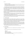- Instructions for installation
- Instructions for executing the system, using % and % d to indicate where the problem file name and CPU time limit must appear in the command line.
- The distinguished strings indicating what solution has been found, and delimiting proofs/models.

The installation procedure may require changing path variables, invoking make or something similar, etc, but nothing unreasonably complicated. All system binaries must be created in the installation process; they cannot be delivered as part of the installation package. If the ATP system requires any special software, libraries, etc, which is not part of a standard installation, the competition organizers must be told in the system registration.

The system is installed onto the competition computers by the competition organizers, following the instructions in the ReadMe file. Installation failures before the system delivery deadline are passed back to the entrant. (i.e., delivery of the installation package before the system delivery deadline provides an opportunity to fix things if the installation fails!). After the system delivery deadline no further changes or late systems are accepted.

For systems running on entrant supplied computers in the demonstration division, entrants must deliver a source code package to the competition organizers by the start of the competition. The source code package must be a .tgz file containing the system source code.

After the competition all competition division systems' source code is made publically available on the CASC web site. In the demonstration division, the entrant specifies whether or not the source code is placed on the CASC web site. An open source license is encouraged.

#### 6.3 System Execution

Execution of the ATP systems on the competition computers is controlled by a perl script, provided by the competition organizers. The jobs are queued onto the computers so that each computer is running one job at a time. In the non-LTB divisions, all attempts at the Nth problems in all the divisions and categories are started before any attempts at the  $(N+1)$ th problems. In the LTB division all attempts in each category in the division are started before any attempts at the next category.

During the competition a perl script parses the systems' outputs. If any of an ATP system's distinguished strings are found then the CPU time used to that point is noted. A system has solved a problem iff it outputs its termination string within the CPU time limit, and a system has produced a proof/model iff it outputs its end-of-proof/model string within the CPU time limit. The result and timing data is used to generate an HTML file, and a web browser is used to display the results.

The execution of the demonstration division systems is supervised by their entrants.

#### <span id="page-13-0"></span>6.4 System Checks

- Check: The ATP system can run on a computer that has the same configuration as the competition computers.
- Check: The ATP system can be run by an absolute path name for the executable.

```
prompt> pwd
/home/tptp
prompt> which MyATPSystem
/home/tptp/bin/MyATPSystem
prompt> /home/tptp/bin/MyATPSystem /home/tptp/TPTP/Problems/SYN/SYN075-1.p
SZS status Unsatisfiable for SYN075-1
```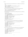• Check: The ATP system accepts an absolute path name of a symbolic link as the problem file name.

```
prompt> cd /home/tptp/tmp
prompt> ln -s /home/tptp/TPTP/Problems/SYN/SYN075-1.p CCC001-1.p
prompt> cd /home/tptp
prompt> /home/tptp/bin/MyATPSystem /home/tptp/tmp/CCC001-1.p
SZS status Unsatisfiable for CCC001-1
```
• Check: The ATP system makes no assumptions about the format of the problem file name.

```
prompt> ln -s /home/tptp/TPTP/Problems/GRP/GRP001-1.p _foo-Blah
prompt> /home/tptp/bin/MyATPSystem _foo-Blah
SZS status Unsatisfiable for _foo-Blah
```
• Check: The ATP system can run under the TreeLimitedRun program (sources are available from the CASC web site).

```
prompt> which TreeLimitedRun
/home/tptp/bin/TreeLimitedRun
prompt> /home/tptp/bin/TreeLimitedRun -q0 200 400 /home/tptp/bin/MyATPSystem
        /home/tptp/tmp/CCC001-1.p
TreeLimitedRun: ------------------------------------------------
TreeLimitedRun: /home/tptp/bin/MyATPSystem
TreeLimitedRun: CPU time limit is 200s
TreeLimitedRun: WC time limit is 400s
TreeLimitedRun: PID is 4867
TreeLimitedRun: ------------------------------------------------
SZS status Unsatisfiable for CCC001-1
FINAL WATCH: 147.8 CPU 150.0 WC
```
• Check: The ATP system's CPU time can be limited using the TreeLimitedRun program.

```
prompt> /home/tptp/bin/TreeLimitedRun -q0 10 20 /home/tptp/bin/MyATPSystem
        /home/tptp/tmp/CCC001-1.p
TreeLimitedRun: ------------------------------------------------
TreeLimitedRun: /home/tptp/bin/MyATPSystem
TreeLimitedRun: CPU time limit is 10s
TreeLimitedRun: WC time limit is 20s
TreeLimitedRun: PID is 5827
TreeLimitedRun: ------------------------------------------------
CPU time limit exceeded
FINAL WATCH: 10.7 CPU 13.1 WC
```
• Check: The ATP system's wall clock time can be limited using the TreeLimitedRun program.

```
prompt> /home/tptp/bin/TreeLimitedRun -q0 20 10 /home/tptp/bin/MyATPSystem
       /home/tptp/tmp/CCC001-1.p
TreeLimitedRun: ------------------------------------------------
TreeLimitedRun: /home/tptp/bin/MyATPSystem
TreeLimitedRun: CPU time limit is 20s
TreeLimitedRun: WC time limit is 10s
TreeLimitedRun: PID is 5827
TreeLimitedRun: ------------------------------------------------
Alarm clock
FINAL WATCH: 9.7 CPU 10.1 WC
```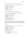• Check: The system outputs a distinguished string when terminating of its own accord.

prompt> /home/tptp/bin/TreeLimitedRun -q0 200 400 /home/tptp/bin/MyATPSystem /home/tptp/tmp/CCC001-1.p TreeLimitedRun: ------------------------------------------------ TreeLimitedRun: /home/tptp/bin/MyATPSystem TreeLimitedRun: CPU time limit is 200s TreeLimitedRun: WC time limit is 400s TreeLimitedRun: PID is 5827 TreeLimitedRun: ------------------------------------------------ SZS status Unsatisfiable for CCC001-1 FINAL WATCH: 147.8 CPU 150.0 WC

Similar checks should be made for the cases where the system gives up.

• Check: The system outputs distinguished strings at the start and end of its solution.

```
prompt> /home/tptp/bin/TreeLimitedRun -q0 200 400 /home/tptp/bin/MyATPSystem
        -output_proof /home/tptp/tmp/CCC001-1.p
TreeLimitedRun: ------------------------------------------------
TreeLimitedRun: /home/tptp/bin/MyATPSystem
TreeLimitedRun: CPU time limit is 200s
TreeLimitedRun: WC time limit is 400s
TreeLimitedRun: PID is 5827
TreeLimitedRun: ------------------------------------------------
SZS status Unsatisfiable for CCC001-1
SZS output start CNFRefutation for CCC001-1
    ... acceptable proof/model here ...
SZS output end CNFRefutation for CCC001-1
FINAL WATCH: 147.8 CPU 150.0 WC
```
• Check: No temporary or intermediate files are left if the system terminates of its own accord, and no temporary or intermediate files are left anywhere other than in /tmp if the system is terminated by a SIGXCPU or SIGALRM. Check in the current directory, the ATP system's directory, the directory where the problem's symbolic link is located, and the directory where the actual problem file is located.

```
prompt> pwd
/home/tptp
prompt> /home/tptp/bin/TreeLimitedRun -q0 200 400 /home/tptp/bin/MyATPSystem
        /home/tptp/tmp/CCC001-1.p
TreeLimitedRun: ------------------------------------------------
TreeLimitedRun: /home/tptp/bin/MyATPSystem
TreeLimitedRun: CPU time limit is 200s
TreeLimitedRun: WC time limit is 400s
TreeLimitedRun: PID is 13526
TreeLimitedRun: ------------------------------------------------
SZS status Unsatisfiable for CCC001-1
FINAL WATCH: 147.8 CPU 150.0 WC
prompt> ls /home/tptp
     ... no temporary or intermediate files left here ...
prompt> ls /home/tptp/bin
    ... no temporary or intermediate files left here ...
prompt> ls /home/tptp/tmp
```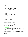```
... no temporary or intermediate files left here ...
prompt> ls /home/tptp/TPTP/Problems/GRP
    ... no temporary or intermediate files left here ...
prompt> ls /tmp
    ... no temporary or intermediate files left here by decent systems ...
```
• Check: Multiple concurrent executions do not clash.

```
prompt> (/bin/time /home/tptp/bin/TreeLimitedRun -q0 200 400
        /home/tptp/bin/MyATPSystem /home/tptp/tmp/CCC001-1.p) &
        (/bin/time /home/tptp/bin/TreeLimitedRun -q0 200 400
        /home/tptp/bin/MyATPSystem /home/tptp/tmp/CCC001-1.p)
TreeLimitedRun: ------------------------------------------------
TreeLimitedRun: /home/tptp/bin/MyATPSystem
TreeLimitedRun: CPU time limit is 200s
TreeLimitedRun: WC time limit is 400s
TreeLimitedRun: PID is 5827
TreeLimitedRun: ------------------------------------------------
TreeLimitedRun: ------------------------------------------------
TreeLimitedRun: /home/tptp/bin/MyATPSystem
TreeLimitedRun: CPU time limit is 200s
TreeLimitedRun: WC time limit is 400s
TreeLimitedRun: PID is 5829
TreeLimitedRun: ------------------------------------------------
SZS status Unsatisfiable for CCC001-1
FINAL WATCH: 147.8 CPU 150.0 WC
SZS status Unsatisfiable for CCC001-1
FINAL WATCH: 147.8 CPU 150.0 WC
```
# 7 The ATP Systems

These system descriptions were written by the entrants.

## 7.1 Darwin 1.4.4

Peter Baumgartner<sup>1</sup>, Alexander Fuchs<sup>2</sup>, Cesare Tinelli<sup>2</sup> <sup>1</sup>NICTA, Australia, <sup>2</sup>The University of Iowa, USA

#### Architecture

Darwin [\[BFT04,](#page-37-1) [BFT06\]](#page-37-2) is an automated theorem prover for first order clausal logic. It is an implementation of the Model Evolution calculus [\[BT03\]](#page-37-0). The Model Evolution calculus lifts the propositional DPLL procedure to first-order logic. One of the main motivations for this approach was the possibility of migrating to the first-order level some of those very effective search techniques developed by the SAT community for the DPLL procedure.

The current version of Darwin implements first-order versions of unit propagation inference rules analogously to a restricted form of unit resolution and subsumption by unit clauses. To retain completeness, it includes a first-order version of the (binary) propositional splitting inference rule.

Proof search in Darwin starts with a default interpretation for a given clause set, which is evolved towards a model or until a refutation is found.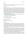#### Strategies

Darwin traverses the search space by iterative deepening over the term depth of candidate literals. Darwin employs a uniform search strategy for all problem classes.

#### Implementation

The central data structure is the *context*. A context represents an interpretation as a set of first-order literals. The context is grown by using instances of literals from the input clauses. The implementation of Darwin is intended to support basic operations on contexts in an efficient way. This involves the handling of large sets of candidate literals for modifying the current context. The candidate literals are computed via simultaneous unification between given clauses and context literals. This process is sped up by storing partial unifiers for each given clause and merging them for different combinations of context literals, instead of redoing the whole unifier computations. For efficient filtering of unneeded candidates against context literals, discrimination tree or substitution tree indexing is employed. The splitting rule generates choice points in the derivation which are backtracked using a form of backjumping similar to the one used in DPLL-based SAT solvers.

Darwin is implemented in OCaml and has been tested under various Linux distributions. It is available from <http://goedel.cs.uiowa.edu/Darwin/>.

Changes to the previous version consist of minor bug fixes.

#### Expected Competition Performance

We expect its performance to be very strong in the EPR division.

## 7.2 E 1.1pre and EP 1.1pre

Stephan Schulz Technische Universität München, Germany,

#### Architecture

E 1.1pre [\[Sch02,](#page-39-5) [Sch04b\]](#page-39-4) is a purely equational theorem prover. The core proof procedure operates on formulas in clause normal form, using a calculus that combines superposition (with selection of negative literals) and rewriting. No special rules for non-equational literals have been implemented, i.e., resolution is simulated via paramodulation and equality resolution. The basic calculus is extended with rules for AC redundancy elimination, some contextual simplification, and pseudo-splitting with definition caching. The latest versions of E also supports simultaneous paramodulation, either for all inferences or for selected inferences.

E is based on the DISCOUNT-loop variant of the *given-clause* algorithm, i.e., a strict separation of active and passive facts. Proof search in E is primarily controlled by a literal selection strategy, a clause evaluation heuristic, and a simplification ordering. The prover supports a large number of preprogrammed literal selection strategies, many of which are only experimental. Clause evaluation heuristics can be constructed on the fly by combining various parameterized primitive evaluation functions, or can be selected from a set of predefined heuristics. Supported term orderings are several parameterized instances of Knuth-Bendix Ordering (KBO) and Lexicographic Path Ordering (LPO).

The prover uses a preprocessing step to convert formulas in full first order format to clause normal form. This step may introduce (first-order) definitions to avoid an exponential growth of the formula. Preprocessing also unfolds equational definitions and performs some simplifications on the clause level.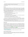The automatic mode determines literal selection strategy, term ordering, and search heuristic based on simple problem characteristics of the preprocessed clausal problem.

EP 1.1pre is just a combination of E 1.1pre in verbose mode and a proof analysis tool extracting the used inference steps.

#### **Strategies**

E has been optimized for performance over the TPTP. The automatic mode of E 1.1pre is partially inherited from the previous version and is based on about 150 test runs over TPTP 3.5.0 and additional tests on large proof problems. It consists of the selection of one of about 40 different strategies for each problem. All test runs have been performed on Linux/Intel machines with a time limit roughly equivalent to 300 seconds on 300MHz Sun SPARC machines, i.e., around 30 seconds on 2Ghz class machines. All individual strategies are refutationally complete.

E distinguishes problem classes based on a number of features, all of which have between 2 and 4 possible values. The most important ones are:

- Is the most general non-negative clause unit, Horn, or non-Horn?
- Is the most general negative clause unit or non-unit?
- Are all negative clauses unit clauses?
- Are all literals equality literals, are some literals equality literals, or is the problem non-equational?
- Are there a few, some, or many clauses in the problem?
- Is the maximum arity of any function symbol 0, 1, 2, or greater?
- Is the sum of function symbol arities in the signature small, medium, or large?

For classes above a threshold size, we assign the absolute best heuristic to the class. For smaller, non-empty classes, we assign the globally best heuristic that solves the same number of problems on this class as the best heuristic on this class does. Empty classes are assigned the globally best heuristic. Typically, most selected heuristics are assigned to more than one class.

For the LTB part of the competition, E will use a relevancy-based pruning approach and attempt to solve the problems with successively more complete specifications until it suceeds or runs out of time.

#### Implementation

E is implemented in ANSI C, using the GNU C compiler. At the core is a implementation of aggressively shared first-order terms in a *term bank* data structure. Based on this, E supports the global sharing of rewrite steps. Rewriting is implemented in the form of *rewrite links* from rewritten to new terms. In effect, E is caching rewrite operations as long as sufficient memory is available. Other important features are the use of *perfect discrimination trees* with age and size constraints for rewriting and unitsubsumption, *feature vector indexing* [\[Sch04a\]](#page-39-6) for forward- and backward subsumption and contextual literal cutting, and a new polynomial implementation of LPO [\[Loe04\]](#page-38-1).

The program has been successfully installed under SunOS 4.3.x, Solaris 2.x, HP-UX B 10.20, MacOS-X, and various versions of Linux. Sources of the latest released version are available freely from <http://www.eprover.org>.

EP 1.1pre is a simple Bourne shell script calling E and the postprocessor in a pipeline.

#### Expected Competition Performance

In the last years, E performed well in most proof categories. We believe that E will again be among the stronger provers in the FOF and CNF categories. We hope that E will at least be a useful complement to dedicated systems in the other categories.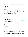EP 1.1p will be hampered by the fact that it has to analyse the inference step listing, an operation that typically is about as expensive as the proof search itself. Nevertheless, it should be competitive among the FOF and LTB proof class systems.

# 7.3 E-Darwin 1.2

Björn Pelzer University Koblenz-Landau, Germany

## Architecture

E-Darwin is an automated theorem prover for first order clausal logic with equality. It is a modified version of the Darwin prover [\[BFT04\]](#page-37-1), and it implements the Model Evolution with Equality calculus [\[BT05\]](#page-38-2). The general operation of the original Darwin has been extended by inferences for handling equality, specifically a paramodulation and a reflexivity inference. Whereas the original Darwin derived units only, the new inferences in E-Darwin allow the derivation of multi-literal clauses. A more extensive detection and handling of redundancy has been added as well.

## Strategies

The uniform search strategy is identical to the one employed in the original Darwin.

## Implementation

Darwin's method of storing partial unifiers has been adapted to equations and subterm positions for the paramodulation inference in E-Darwin. A combination of perfect and non-perfect discrimination tree indexes is used to store the context and the clauses.

E-Darwin is implemented in the functional/imperative language OCaml. The system has been tested on Unix and is available under the GNU Public License from the E-Darwin website at [http://www.](http://www.uni-koblenz.de/~bpelzer/edarwin) [uni-koblenz.de/~bpelzer/edarwin](http://www.uni-koblenz.de/~bpelzer/edarwin).

## Expected Competition Performance

E-Darwin development forked from the original Darwin at version 1.3 and is still very much work in progress, serving as a testbed for modifications to the model evolution calculus. The performance on problems without equality remains on the level of the by now outdated Darwin 1.3.

# 7.4 E-KRHyper 1.1.3

Björn Pelzer University Koblenz-Landau, Germany

# Architecture

E-KRHyper [\[PW07\]](#page-39-7) is a theorem proving and model generation system for first-order logic with equality. It is an implementation of the E-hyper tableau calculus [\[BFP07\]](#page-37-3), which integrates a superposition-based handling of equality [\[BG98\]](#page-37-4) into the hyper tableau calculus [\[BFN96\]](#page-37-5). The system is an extension of the KRHyper theorem prover [\[Wer03\]](#page-40-26), which implements the original hyper tableau calculus.

An E-hyper tableau is a tree whose nodes are labeled with clauses and which is built up by the application of the inference rules of the E-hyper tableau calculus. The calculus rules are designed such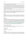that most of the reasoning is performed using positive unit clauses. A branch can be extended with new clauses that have been derived from the clauses of that branch.

A positive disjunction can be used to split a branch, creating a new branch for each disjunct. No variables may be shared between branches, and if a case-split creates branches with shared variables, then these are immediately substituted by ground terms. The grounding substitution is arbitrary as long as the terms in its range are irreducible: the branch being split may not contain a positive equational unit which can simplify a substituting term, i.e. rewrite it with one that is smaller according to a reduction ordering. When multiple irreducible substitutions are possible, each of them must be applied in consecutive splittings in order to preserve completeness.

Redundancy rules allow the detection and removal of clauses that are redundant with respect to a branch.

The hyper extension inference from the original hyper tableau calculus is equivalent to a series of E-hyper tableau calculus inference applications. Therefore the implementation of the hyper extension in KRHyper by a variant of semi-naive evaluation [\[Ull89\]](#page-40-27) is retained in E-KRHyper, where it serves as a shortcut inference for the resolution of non-equational literals.

## Strategies

E-KRHyper uses a uniform search strategy for all problems. The E-hyper tableau is generated depth-first, with E-KRHyper always working on a single branch. Refutational completeness and a fair search control are ensured by an iterative deepening strategy with a limit on the maximum term weight of generated clauses.

#### Implementation

E-KRHyper is implemented in the functional/imperative language OCaml. The system accepts input in the TPTP format and in the TPTP-supported Protein-format. The calculus implemented by E-KRHyper works on clauses, so first order formula input is converted into CNF by an algorithm which follows the transformation steps as used in the clausification of Otter [\[McC03b\]](#page-39-8). E-KRHyper operates on an E-hyper tableau which is represented by linked node records. Several layered discrimination-tree based indexes (both perfect and non-perfect) provide access to the clauses in the tableau and support backtracking.

The system runs on Unix and MS-Windows platforms and is available under the GNU Public License from the E-KRHyper website at <http://www.uni-koblenz.de/~bpelzer/ekrhyper>.

#### Expected Competition Performance

Since last year only minor changes have been done which could affect the performance within CASC, so the results are expected to be at or below the level of Otter.

# 7.5 Equinox 4.0

Koen Claessen Chalmers University of Technology, Sweden

## Architecture

Equinox is an experimental theorem prover for pure first-order logic with equality. It finds ground proofs of the input theory, by solving successive ground instantiations of the theory using an incremental SATsolver. Equinox is based on a "stack" of increasingly powerful logics, starting at propositional logic all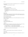the way up the first-order logic with equality. The implementation consists of a corresponding stack of theorem provers.

This is the first version of Equinox that is complete.

## **Strategies**

There is only one strategy in Equinox:

- 1. Give all ground clauses in the problem to a SAT solver.
- 2. Run the SAT-solver.
- 3. If a contradiction is found, we have a proof and we terminate.
- 4. If a model is found, we use the model to indicate which new ground instantiations should be added to the SAT-solver.
- 5. Goto 2.

## Implementation

The main part of Equinox is implemented in Haskell using the GHC compiler. Equinox also has a builtin incremental SAT solver (MiniSat) which is written in C++. The two parts are linked together on the object level using Haskell's Foreign Function Interface.

## Expected Competition Performance

Equinox should perform better than previous years. There should be problems that it can solve that few other provers can handle.

# 7.6 Infinox 1.0

Ann Lillieström, Koen Claessen Chalmers University of Technology, Sweden

# **Architecture**

Infinox is a tool that (for some problems) can show the absence of finite models. It works by showing the existence of functions or relations with certain properties that imply infinity, such as:

- 1. for an injective function  $f: D \to D$  that is not surjective, *D* must be infinite
- 2. for a surjective function  $f : D \to D$  that is not injective, *D* must be infinite
- 3. for a relation  $r : D \times D$  that is anti-symmetric, transitive, and serial, *D* must be infinite (or empty)

All methods in Infinox are based on one of these three principles.

## **Strategies**

Infinox runs a number of fixed methods in sequence, and terminates if one of them succeeds.

## Implementation

Infinox is implemented in Haskell using the GHC compiler, and it uses Stephan Schulz' E-prover as a back-end.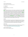## Expected Competition Performance

Infinox participates in only the demonstration division.

## 7.7 iProver 0.5

Konstantin Korovin The University of Manchester, United Kingdom

## Architecture

iProver is an automated theorem prover which is based on an instantiation calculus Inst-Gen [\[GK03,](#page-38-3) [Kor08a\]](#page-38-4), complete for first-order logic. One of the distinctive features of iProver is a modular combination of first-order reasoning with ground reasoning. In particular, iProver currently integrates MiniSat for reasoning with ground abstractions of first-order clauses. In addition to instantiation, iProver implements ordered resolution calculus and a combination of instantiation and ordered resolution, see [\[Kor08b\]](#page-38-5) for the implementation details. The saturation process is implemented as a modification of a given clause algorithm. We use non-perfect discrimination trees for the unification indexes, priority queues for passive clauses and a compressed vector index for subsumption and subsumption resolution (both forward and backward). The following redundancy eliminations are implemented: blocking non-proper instantiations; dismatching constraints [\[GK04,](#page-38-6) [Kor08b\]](#page-38-5); global subsumption [\[Kor08b\]](#page-38-5); resolution-based simplifications and propositional-based simplifications. Equality is dealt with (internally) by adding the necessary axioms of equality. iProver has a satisfiablity mode which includes a finite model finder, based on an adaptation of ideas from DarwinFM and Paradox to the iProver setting.

## Strategies

iProver v0.5 has around 40 options to control the proof search including options for literal selections, passive clause selections, frequency of calling the SAT solver, simplifications and options for combination of instantiation with resolution. At CASC iProver will execute a fixed schedule of selected options.

For the LTB division a small script partitions the time available to the given problem set and runs iProver with the allocated time limit, and time is repartitioned after each solved problem.

## Implementation

iProver is implemented in OCaml and for the ground reasoning uses MiniSat. iProver accepts FOF and CNF formats. In the case of FOF format, either Vampire or E prover is used for clausification. iProver is available at <http://www.cs.man.ac.uk/~korovink/iprover/>.

## Expected Competition Performance

iProver 0.5 is the CASC-J4 EPR division winner.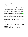# 7.8 iProver 0.7 and iProver-SInE 0.7

Konstantin Korovin The University of Manchester, United Kingdom

# Architecture

iProver is an automated theorem prover based on an instantiation calculus Inst-Gen [\[GK03,](#page-38-3) [Kor08a\]](#page-38-4) which is complete for first-order logic. One of the distinctive features of iProver is a modular combination of first-order reasoning with ground reasoning. In particular, iProver currently integrates MiniSat [\[ES04\]](#page-38-7) for reasoning with ground abstractions of first-order clauses. In addition to instantiation, iProver implements ordered resolution calculus and a combination of instantiation and ordered resolution, see [\[Kor08b\]](#page-38-5) for the implementation details. The saturation process is implemented as a modification of a given clause algorithm. We use non-perfect discrimination trees for the unification indexes, priority queues for passive clauses and a compressed vector index for subsumption and subsumption resolution (both forward and backward). The following redundancy eliminations are implemented: blocking non-proper instantiations; dismatching constraints [\[GK04,](#page-38-6) [Kor08b\]](#page-38-5); global subsumption [\[Kor08b\]](#page-38-5); resolution-based simplifications and propositional-based simplifications. We implemented a compressed feature vector index for efficient forward/backward subsumption and subsumption resolution. Equality is dealt with (internally) by adding the necessary axioms of equality.

For the LTB division, iProver-SInE runs iProver as the underlying inference engine of SInE 0.4 (described in Section [7.18\)](#page-32-0), i.e., axiom selection is done by SInE, and proof attempts are done by iProver.

## Strategies

iProver has around 40 options to control the proof search including options for literal selections, passive clause selections, frequency of calling the SAT solver, simplifications and options for combination of instantiation with resolution. At CASC iProver will execute a small number of fixed schedules of selected options depending on general syntactic properties such as Horn/non-Horn, equational/non-equational and maximal term depth.

## Implementation

iProver is implemented in OCaml and for the ground reasoning uses MiniSat. iProver accepts FOF and CNF formats, in the case of FOF format, E prover is used for clausification. iProver is available at: <http://www.cs.man.ac.uk/~korovink/iprover/>.

## Expected Competition Performance

We expect strong performance in the EPR division and reasonably good performance in FOF, CNF, FNT, SAT, and LTB divisions.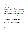# 7.9 iProver-Eq 0.5

Konstantin Korovin, Christoph Sticksel The University of Manchester, United Kingdom

# Architecture

iProver-Eq extends the iProver system [\[Kor08a\]](#page-38-4) with built-in equational reasoning, along the lines of [\[GK04\]](#page-38-6). As in the iProver system, first-order reasoning is combined with ground satisfiability checking where the latter is delegated to an off-the-shelf ground solver. The main differences with iProver are that the ground reasoning is done modulo the theory of equality and the first-order reasoning is done by a variant of ordered paramodulation calculus.

The first-order reasoning in iProver-Eq consists of three components, each based on a given clause algorithm: selection of clauses for instantiation, unit paramodulation on selected literals and resolution for simplifications. For non-equational input, the system behaves almost identically to the iProver system, employing the same calculus and simplifications. When equational literals are selected in clauses, a separate calculus based on ordered paramodulation and demodulation is used to find conflicts between selected literals. Literals participating in a conflict give rise to instantiations of the clauses they are selected in and these instances are in turn passed to the ground solver. The ground solver is required to reason modulo equality and we have integrated the CVC3 solver [\[BT07\]](#page-38-8) for this task.

# Strategies

The most influential options on the proof search in iProver-Eq control literal selection and passive clause selection in the individual given clause algorithms as well as the global distribution of time between the three parts and the ground solver. At CASC, iProver-Eq will execute a fixed schedule of selected options as well as simple heuristics for the initial distribution between the equational and non-equational reasoning.

# Implementation

iProver-Eq is implemented in OCaml. For the ground reasoning iProver-Eq uses CVC3 in the equational case and MiniSat in the non-equational case. iProver-Eq accepts FOF and CNF formats. In the case of FOF format, the E prover is used for clausification.

# Expected Competition Performance

iProver-Eq is still work in progress and has not yet been evaluated. We hope iProver-Eq will perform reasonably well in FOF and CNF divisions, in particular improving iProver's performance on equational problems.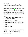## 7.10 Isabelle/HOL 2009

Jasmin Blanchette<sup>1</sup>, Lawrence C. Paulson<sup>2</sup>, Tobias Nipkow<sup>1</sup>, Makarius Wenzel<sup>1</sup>, Stefan Berghofer<sup>1</sup> <sup>1</sup> Technische Universität München, Germany, <sup>2</sup> University of Cambridge, United Kingdom

#### Architecture

Isabelle/HOL 2009 [\[NPW02\]](#page-39-9) is the higher-order logic incarnation of the generic proof assistant Isabelle2009. While designed for interactive proof development, Isabelle/HOL also provides several automatic proof tactics, notably an equational reasoner [\[Nip89\]](#page-39-10), a classical reasoner [\[PN94\]](#page-39-11), a tableau prover [\[Pau99\]](#page-39-12), and a first-order resolution-based prover [\[Hur03\]](#page-38-10).

Although Isabelle is designed for interactive proof development, it is a little known fact that it is possible to run Isabelle from the command line, passing in a theory file with a formula to solve. Isabelle theory files can include Standard ML code to be executed when the file is processed. The TPTP2X Isabelle format module outputs a THF problem in Isabelle/HOL syntax, augmented with ML code that (1) runs the nine tactics in sequence, each with a CPU time limit, until one succeeds or all fail, and (2) reports the result and proof (if found) using the SZS standards. A Perl script is used to insert the CPU time limit (equally divided over the nine tactics) into TPTP2X's Isabelle format output, and then run the command line isabelle-process on the resulting theory file.

#### Strategies

The Isabelle/HOL wrapper submitted to the competition simply tries the following tactics sequentially:

- simp Performs equational reasoning using rewrite rules.
- blast Searches for a proof using a fast untyped tableau prover and then attempts to reconstruct the proof using Isabelle tactics.
- auto Combines simplification and classical reasoning under one roof.
- metis Combines ordered resolution and ordered paramodulation. The proof is then reconstructed using Isabelle tactics.
- fast Searches for a proof using sequent-style reasoning, performing a depth-first search. Unlike blast and metis, they construct proofs directly in Isabelle. That makes them slower but enables them to work in the presence of the more unusual features of HOL, such as type classes and function unknowns.

fastsimp Combines fast and simp.

best Similar to fast, except that it performs a best-first search.

- force Similar to auto, but more exhaustive.
- meson Implements Loveland's MESON procedure [\[Lov78\]](#page-38-9). Constructs proofs directly in Isabelle.

#### Implementation

Isabelle is a generic theorem prover written in Standard ML. Its meta-logic, Isabelle/Pure, provides an intuitionistic fragment of higher-order logic. The HOL object logic extends pure with a more elaborate version of higher-order logic, complete with the familiar connectives and quantifiers. Other object logics are available, notably FOL (first-order logic) and ZF (Zermelo-Fraenkel set theory).

The implementation of Isabelle relies on a small LCF-style kernel, meaning that inferences are implemented as operations on an abstract theorem datatypes. Assuming the kernel is correct, all values of type theorem are correct by construction.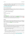Most of the code for Isabelle was written by the Isabelle teams at the University of Cambridge and the Technische Universität München. A notable exception is the metis proof method, which was taken from the HOL4 theorem prover (also implemented in ML).

Isabelle/HOL is available for all major platforms under a BSD-style license from [http://www.cl.](http://www.cl.cam.ac.uk/research/hvg/Isabelle) [cam.ac.uk/research/hvg/Isabelle](http://www.cl.cam.ac.uk/research/hvg/Isabelle).

## Expected Competition Performance

Early results with Isabelle/HOL 2008 suggest that Isabelle will finish third in the THF category, immediately after TPS. However, in the meantime, two unsound proof modes have been disabled in TPS. This could be enough to provide us with a second place.

# 7.11 leanCoP 2.1 and leanCoP-SInE 2.1

Jens Otten University of Potsdam, Germany

## Architecture

leanCoP [\[OB03,](#page-39-13) [Ott08b\]](#page-39-14) is an automated theorem prover for classical first-order logic. It is a very compact implementation of the connection (tableau) calculus [\[Bib87,](#page-37-6) [LS01\]](#page-38-11). For the LTB division, leanCoP-SInE runs leanCoP as the underlying inference engine of SInE 0.4 (described in Section [7.18\)](#page-32-0), i.e., axiom selection is done by SInE, and proof attempts are done by leanCoP.

## **Strategies**

The reduction rule of the connection calculus is applied before the extension rule. Open branches are selected in a depth-first way. Iterative deepening on the proof depth is used to achieve completeness. leanCoP 2.1 includes all the additional strategies and search techniques of leanCoP 2.0, i.e., regularity, lemmata, restricted backtracking [\[Ott08a\]](#page-39-15), and a fixed strategy scheduling.

## Implementation

leanCoP is implemented in Prolog. The source code of the core prover is only a few lines long and fits on half a page. Prolog's built-in indexing mechanism is used to quickly find connections. While the core prover and the definitional clausal form transformation from leanCoP 2.0 have not changed, the following extensions and improvements have been integrated into leanCoP 2.1:

- Besides the leanCoP syntax the (raw) TPTP syntax is now accepted as input format; the equality axioms are automatically added if required.
- The leanCoP core prover returns a compact connection proof, which is translated into a readable proof.
- leanCoP 2.1 is now available for several Prolog systems, e.g., ECLiPSe, SICStus, and SWI Prolog.
- The fixed strategy scheduling from leanCoP 2.0 was slightly changed and is now completely integrated into the shell script used to invoke the prover.

The source code of leanCoP 2.1, which is available under the GNU general public license, together with more information can be found on the leanCoP web site at <http://www.leancop.de>.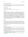## Expected Competition Performance

We expect the performance of leanCoP 2.1 to be similar to that of leanCoP 2.0. On problems with many axioms, like those in the LTB division of CASC, the combined leanCoP-SInE prover should perform significantly better than leanCoP alone.

## 7.12 LEO-II 1.0

Christoph Benzmüller<sup>1</sup>, Frank Theiss<sup>1</sup> <sup>1</sup>International University of Germany, Germany, <sup>1</sup>Articulate Software, USA

#### Architecture

The higher-order theorem prover LEO-II is the successor of LEO [\[BK98\]](#page-37-7), which was developed as part of the Saarbruecken OMEGA system [\[SBA06\]](#page-39-16). The development of the independent LEO-II prover started in 2006 at Cambridge University, UK, in a joint project with Larry Paulson that was funded by the EPSRC. Previous versions of LEO-II have been described in the literature [\[BPTF07,](#page-37-8) [BPTF08\]](#page-37-9).

The calculus currently employed by LEO-II is best characterized as a strategic refinement of extensional higher-order RUE resolution [\[Ben99\]](#page-37-10). Novel aspects in LEO-II version 1.0 over previous versions include splitting of the conjecture in several subproblems (if appropriate), improved clause normalization and improved strategies for the basic fragment of simple type theory [\[BS09\]](#page-37-11) (all but one of the examples that were characterized as challenging for higher-order provers in [\[BS09\]](#page-37-11) are now provable in less than 0.15 seconds in LEO-II). LEO-II offers also an interactive mode and, most importantly, it is capable of generating proof objects in TSTP format.

#### **Strategies**

LEO-II is designed to cooperate with specialist systems for fragments of higher-order logic. The idea is to combine the strengths of the different systems: LEO-II predominantly addresses higher-order aspects in its reasoning process, with the aim of quickly removing higher-order clauses from the search space, and turning them into first-order clauses that can be refuted with a first-order ATP system. Currently, LEO-II is capable of cooperating with the first-order ATP systems E, SPASS, and Vampire. By default LEO-II cooperates with E.

#### Implementation

LEO-II is implemented in Objective Caml version 3.10 and its problem representation language is the new TPTP THF language [\[BRS08\]](#page-37-12).

The improved performance of LEO-II in comparison to its predecessor LEO (implemented in LISP) is due to several novel features including the exploitation of term sharing and term indexing techniques [\[TB06\]](#page-40-28), support for primitive equality reasoning (extensional higher-order RUE resolution), and improved heuristics at the calculus level.

Unfortunately the LEO-II system currently uses only a very simple sequential collaboration model with first-order ATPs instead of using the more advanced, concurrent and resource-adaptive OANTS architecture [\[BSJK08\]](#page-37-13) as exploited by its predecessor LEO.

The LEO-II system is distributed under a BSD style license and it is available online at [http://](http://leoprover.org) [leoprover.org](http://leoprover.org).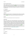## Expected Competition Performance

LEO-II's competition performance is hard to predict for different reasons: this is the first higher-order CASC competition ever held, the THF TPTP library [\[SBBT09\]](#page-39-17) grew very fast over the last year (faster than the first-order TPTP at any point) and many novel problems have recently entered the THF TPTP, LEO-II version 1.0 has substantially changed compared to the previous versions, and the performance of the competitor systems is hard to predict since they appear to be improving fast. An exciting and very motivating situation!

# 7.13 Matita 1.0

The HELM Team and contributors University of Bologna, Italy

## Architecture

Matita (0.5.7) is an interactive theorem prover including a fully automatic module (prover) for problems falling in the first order unit equality case. An overall description of the system and its architecture can be found in [\[ACTZ07\]](#page-36-0), but there is no paper devoted to the automatic prover built in the system.

## Strategies

The prover is based on standard superposition calculus for unit equality clauses.

## Implementation

Matita is written in Objective Caml, a functional language similar to ML developed at INRIA. The automatic prover participating to the CASC is a module of 4000 lines, designed with simplicity and ease of integration in mind. It uses the functor abstraction mechanism of the OCaml language to achieve a good degree of reusability (i.e., comparison over terms is an abstract notion, that can be instantiated with a reduction aware relation for higher order logics like the Calculus of Inductive Constructions on which Matita is based, or a simpler alpha equivalence relation for the TPTP first order language). Matita is based on the Curry-Howard Isomorphism, i.e., proofs are lambda-terms of the CIC calculus. The automatic prover is thus able to produce a trace suitable for proof term reconstruction [\[AT07\]](#page-36-1).

The ATP system registered to the CASC competition will be part of the upcoming 1.0 release of the Matita interactive theorem prover, and is thus not part of any officially released versions, but can be downloaded using the SVN repository at <http://matita.cs.unibo.it>.

## Expected Competition Performance

Since the system never participated to the CASC, there is no real expectation, but we hope not to finish  $last:$ .

# 7.14 Metis 2.2

Joe Hurd Galois, Inc., USA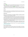# Architecture

Metis 2.2 [\[Hur03\]](#page-38-10) is a proof tactic used in the HOL4 interactive theorem prover. It works by converting a higher order logic goal to a set of clauses in first order logic, with the property that a refutation of the clause set can be translated to a higher order logic proof of the original goal.

Experiments with various first order calculi [\[Hur03\]](#page-38-10) have shown a given clause algorithm and ordered resolution to best suit this application, and that is what Metis 2.2 implements. Since equality often appears in interactive theorem prover goals, Metis 2.2 also implements the ordered paramodulation calculus.

# Strategies

Metis 2.2 uses a fixed strategy for every input problem. Negative literals are always chosen over positive literals, and terms are ordered using the Knuth-Bendix ordering with uniform symbol weight and precedence favouring reduced arity.

# Implementation

Metis 2.2 is written in Standard ML, for ease of integration with HOL4. It uses indexes for resolution, paramodulation, (forward) subsumption and demodulation. It keeps the jem<sub>i</sub>, Activej/em<sub>i</sub>, clause set reduced with respect to all the unit equalities so far derived.

In addition to standard age and size measures, Metis 2.2 uses finite models to weight clauses in the *Passive* set. When integrated with higher order logic, a finite model is manually constructed to interpret standard functions and relations in such a way as to make many standard axioms true and negated goals false. Non-standard functions and relations are interpreted randomly, but with a bias towards making negated goals false. Since it is part of the CASC competition rules that standard functions and relations are obfuscated, Metis 2.2 will back off to the biased random interpretation of all functions and relations (except equality), using a finite model with 4 elements.

Metis 2.2 reads problems in TPTP format and outputs detailed proofs in TSTP format, where each refutation step is one of 6 simple inference rules. Metis 2.2 implements a complete calculus, so when the set of clauses is saturated it can soundly declare the input problem to be unprovable (and outputs the saturation set).

Metis 2.2 is free software, released under the GPL. It can be downloaded from [http://www.](http://www.gilith.com/software/metis) [gilith.com/software/metis](http://www.gilith.com/software/metis).

# Expected Competition Performance

The major change between Metis 2.1, which was entered into CASC-J4, and Metis 2.2 is the representation of normalization steps in TSTP proof format. There were only minor changes to the core proof engine, so Metis 2.2 is expected to perform at approximately the same level and end up in the lower half of the table.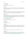# 7.15 OSHL-S 0.6

Hao Xu, David Plaisted University of North Carolina at Chapel Hill, USA

## Architecture

OSHL-S is a theorem prover based on the architecture and strategy introduced in [\[PZ00\]](#page-39-18) with a few improvements. Type inference is employed to reduce the number of instances that are generated before a contradicting instance is found.

## Strategies

OSHL-S employs a uniform strategy for all problems, which is similar to OSHL: it starts with a all negative or all positive model. In each iteration, it finds contradicting instances of the model using inferred types, and then modifies the model to make the instance satisfiable, if possible.

## Implementation

OSHL-S is implemented in Java using Java SE 6 SDK and the Netbeans IDE. The implementation of OSHL-S combines a few strategies for improving the performance of the system, including relaxed ordering, context-free types, relevance ranking, and batched generation. The website for the prover and tools is <http://www.cs.unc.edu/~xuh/oshls>.

#### Expected Competition Performance

The performance should be improved over that of OSHL-S 0.1.

# 7.16 Otter 3.3

William McCune Argonne National Laboratory, USA

## Architecture

Otter 3.3 [\[McC03b\]](#page-39-8) is an ATP system for statements in first-order (unsorted) logic with equality. Otter is based on resolution and paramodulation applied to clauses. An Otter search uses the "given clause algorithm", and typically involves a large database of clauses; subsumption and demodulation play an important role.

#### **Strategies**

Otter's original automatic mode, which reflects no tuning to the TPTP problems, will be used.

#### Implementation

Otter is written in C. Otter uses shared data structures for clauses and terms, and it uses indexing for resolution, paramodulation, forward and backward subsumption, forward and backward demodulation, and unit conflict. Otter is available from <http://www-unix.mcs.anl.gov/AR/otter/>.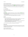## Expected Competition Performance

Otter has been entered into CASC as a stable benchmark against which progress can be judged (there have been only minor changes to Otter since 1996 [\[MW97\]](#page-39-20), nothing that really affects its performace in CASC). This is not an ordinary entry, and we do not hope for Otter to do well in the competition.

*Acknowledgments: Ross Overbeek, Larry Wos, Bob Veroff, and Rusty Lusk contributed to the development of Otter.*

# 7.17 Paradox 3.0

Koen Claessen, Niklas Sörensson Chalmers University of Technology, Sweden

## Architecture

Paradox [\[CS03\]](#page-38-12) is a finite-domain model generator. It is based on a MACE-style [\[McC03a\]](#page-39-19) flattening and instantiating of the first-order clauses into propositional clauses, and then the use of a SAT solver to solve the resulting problem.

Paradox incorporates the following features: Polynomial-time *clause splitting heuristics*, the use of *incremental SAT*, *static symmetry reduction* techniques, and the use of *sort inference*.

## **Strategies**

There is only one strategy in Paradox:

- 1. Analyze the problem, finding an upper bound N on the domain size of models, where N is possibly infinite. A finite such upper bound can be found, for example, for EPR problems.
- 2. Flatten the problem, and split clauses and simplify as much as possible.
- 3. Instantiate the problem for domain sizes 1 up to N, applying the SAT solver incrementally for each size. Report "SATISFIABLE" when a model is found.
- 4. When no model of sizes smaller or equal to N is found, report "CONTRADICTION".

In this way, Paradox can be used both as a model finder and as an EPR solver.

## Implementation

The main part of Paradox is implemented in Haskell using the GHC compiler. Paradox also has a built-in incremental SAT solver which is written in C++. The two parts are linked together on the object level using Haskell's Foreign Function Interface.

# Expected Competition Performance

Paradox 3.0 is the CASC-J4 FNT division winner.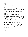# <span id="page-32-0"></span>7.18 SInE 0.4

Krystof Hoder The University of Manchester, United Kingdom

# Architecture

SiNE 0.4 is an axiom selection system for first order theories. It uses a syntactic approach based on symbols' presence in axioms and the conjecture. (When we say symbols, we mean function and predicate symbols taken together.) A relation D (as in "Defines") is created between symbols and axioms, which represents the fact that for a symbol there are some axioms that "give it its meaning". After the relation has been constructed, the axiom selection starts. At the beginning only the conjecture is selected, in each iteration the selection is extended by all axioms that are D-related to any symbol used in already selected formulae. The iteration continues until no more axioms are selected. The selected axioms and the conjecture are then handed to an underlying inference engine.

# Strategies

In order to construct the D-relation, we compute for each symbol the number of axioms in which it appears, which we call the *generality index* of the symbol. Then each axiom is put into the D-relation of the least general symbol it contains. (If there are more symbols with lowest generality index, the axiom is put in the relation of all of them.) This strategy selects about 2% of axioms on problems CSR(075-109)+1 In order to get different sets of axioms for multiple proof attempts on each problem, we have introduced a *benevolence* parameter. Given benevolence  $b \geq 1$ , formula *F*, which has the least general symbol with generality index *g*0, is put into the D-relations of all its symbols with generality index  $g \le b \times g_0$ . Another way to modify the axiom set is to add axioms that were used in proofs of previously proved problems (which used the same axiom set).

# Implementation

The axiom selection is implemented in Python. Problems are accessed one by one as present in the batch file. First each problem's time limit is calculated. This calculation is "optimistic" in a way that it assumes that the success rate of problems to come will be the same as of the already encountered ones. (It gives a problem more than it's fair share of time, assuming that many of the problems won't use their whole time limit.) Each problem is attempted in five phases, each of them specifies different selection parameters (i.e., benevolence and whether the axioms from previous proofs are included). For each phase a D-relation is constructed (or reused if it was constructed for the same axiom set previously). Then axioms are selected and passed to an underlying prover. This version contains EP as an underlying prover, as it was used last year by the competition-winning version.

SInE is available from <http://www.cs.man.ac.uk/~hoderk/sine/sine.tgz>.

# Expected Competition Performance

SInE 0.3 was the CASC-J4 LTB division winner. SInE 0.4 is a minimally updated version for the new LTB rules.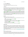# 7.19 TPS 3.20080227G1d

Peter B. Andrews<sup>1</sup>, Chad E. Brown<sup>1</sup> <sup>1</sup>Carnegie Mellon University, USA, <sup>1</sup>Saarland University, Germany

## Architecture

TPS is a higher-order theorem proving system that has been developed over several decades under the supervision of Peter B. Andrews with substantial work by Eve Longini Cohen, Dale A. Miller, Frank Pfenning, Sunil Issar, Carl Klapper, Dan Nesmith, Hongwei Xi, Matthew Bishop, Chad E. Brown, and Mark Kaminski. TPS can be used to prove theorems of Church's type theory automatically, interactively, or semi-automatically [\[ABI](#page-36-2)<sup>+</sup>96, [AB06\]](#page-36-3).

When searching for a proof, TPS first searches for an expansion proof [\[Mil87\]](#page-39-21) or an extensional expansion proof [\[Bro07\]](#page-37-14) of the theorem. Part of this process involves searching for acceptable matings [\[And81\]](#page-36-4). Using higher-order unification, a pair of occurrences of subformulas (which are usually literals) is mated appropriately on each vertical path through an expanded form of the theorem to be proved. The expansion proof thus obtained is then translated [\[Pfe87\]](#page-39-22), without further search, into a proof of the theorem in natural deduction style. The translation process provides an effective soundness check, but it is not actually used during the competition.

## **Strategies**

Strategies used by TPS in the search process include:

- Re-ordering conjunctions and disjunctions to alter the way paths through the formula are enumerated.
- The use of primitive substitutions and gensubs [\[And89\]](#page-36-5).
- Path-focused duplication [\[Iss90\]](#page-38-13).
- Dual instantiation of definitions, and generating substitutions for higher-order variables which contain abbreviations already present in the theorem to be proved [\[BA98\]](#page-36-6).
- Component search [\[Bis99\]](#page-37-15).
- Generating and solving set constraints [\[Bro02\]](#page-37-16).
- Generating connections using extensional and equational reasoning [\[Bro07\]](#page-37-14).

# Implementation

TPS has been developed as a research tool for developing, investigating, and refining a variety of methods of searching for expansion proofs, and variations of these methods. Its behavior is controlled by hundreds of flags. A set of flags, with values for them, is called a mode. 52 modes have been found which collectively suffice for automatically proving virtually all the theorems which TPS has proved automatically thus far. When searching for a proof in automatic mode, TPS tries each of these modes in turn for a specified amount of time.

TPS is implemented in Common Lisp, and is available from: [http://gtps.math.cmu.edu/tps.](http://gtps.math.cmu.edu/tps.html) [html](http://gtps.math.cmu.edu/tps.html).

# Expected Competition Performance

TPS is quite versatile when searching for proofs of higher-order theorems, but it is effectively slow when it must try many modes. Therefore, the performance of TPS is likely to depend very heavily on the way the competition is set up. If the emphasis is on speed, with short time limits, TPS may not do very well.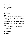On the other hand, if the emphasis is on the variety of theorems that can be proved, with very liberal time limits, TPS may do very well.

## 7.20 Vampire 10.0

Andrei Voronkov University of Manchester, United Kingdom

No system description supplied.

## Expected Competition Performance

Vampire 10.0 is the CASC-J4 FOF and CNF division winner.

## 7.21 Vampire 11.0

Krystof Hoder, Andrei Voronkov The University of Manchester, United Kingdom

#### Architecture

Vampire 11.0 is an automatic theorem prover for first-order classical logic. It consists of a shell and a kernel. The kernel implements the calculi of ordered binary resolution and superposition for handling equality. The splitting rule in kernel adds propositional parts to clauses, which are manipulated using binary decision diagrams (BDDs). A number of standard redundancy criteria and simplification techniques are used for pruning the search space: subsumption, tautology deletion, subsumption resolution and rewriting by ordered unit equalities. The reduction ordering is the Knuth-Bendix Ordering.

Substitution tree indexing is used to implement all major operations on sets of terms and literals. Although the kernel of the system works only with clausal normal forms, the shell accepts a problem in the full first-order logic syntax, clausifies it and performs a number of useful transformations before passing the result to the kernel. Also the axiom selection algorithm of last year's LTB divison winner SInE can be enabled as part of the preprocessing.

When a theorem is proved, the system produces a verifiable proof, which validates both the clausification phase and the refutation of the CNF.

#### **Strategies**

The Vampire 11.0 kernel provides a fairly large number of features for strategy selection. The most important ones are:

- Choice of the main saturation procedure :
	- Limited Resource Strategy
	- DISCOUNT loop
	- Otter loop
- A variety of optional simplifications.
- Parameterised reduction orderings.
- A number of built-in literal selection functions and different modes of comparing literals.
- Age-weight ratio that specifies how strongly lighter clauses are preferred for inference selection.
- Set-of-support strategy.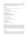The Vampire 11.0 core is a completely new Vampire, and it shares virtually no code with the previous versions. The automatic mode of Vampire 11.0, however, uses both the Vampire 11.0 core and Vampire 10.0 to solve problems, based on input problem classification that takes into account simple syntactic properties, such as being Horn or non-Horn, presence of equality, etc.

#### Implementation

Vampire 11.0 is implemented in C++. The supported compilers are gcc 4.1.x, gcc 4.3.x.

#### Expected Competition Performance

We expect Vampire 11.0 to perform comparably to the Vampire 10.0.

## 7.22 Waldmeister 806

Thomas Hillenbrand<sup>1</sup>, Bernd Löchner<sup>2</sup>  $1$ Max-Planck-Institut für Informatik Saarbrücken, Germany,  $2$ Technische Universität Kaiserslautern, Germany

No system description supplied.

#### Expected Competition Performance

Waldmeister 806 is the CASC-J4 UEQ division winner.

## 7.23 Waldmeister C09a

Thomas Hillenbrand Max-Planck-Institut für Informatik, Germany

#### Architecture

Waldmeister C09a [\[Hil03\]](#page-38-14) is a system for unit equational deduction. Its theoretical basis is unfailing completion in the sense of [\[BDP89\]](#page-36-7) with refinements towards ordered completion (cf. [\[AHL03\]](#page-36-8)). The system saturates the input axiomatization, distinguishing active facts, which induce a rewrite relation, and passive facts, which are the one-step conclusions of the active ones up to redundancy. The saturation process is parameterized by a reduction ordering and a heuristic assessment of passive facts [\[HJL99\]](#page-38-15).

Waldmeister C09a is a minor upgrade of Waldmeister 806, the best feature of which is TPTP format output.

#### Implementation

The prover is coded in ANSI-C. It runs on Solaris, Linux, and newly also on MacOS X. In addition, it is now available for Windows users via the Cygwin platform. The central data strucures are: perfect discrimination trees for the active facts; group-wise compressions for the passive ones; and sets of rewrite successors for the conjectures. Visit the Waldmeister web pages at <http://www.waldmeister.org>.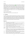## **Strategies**

The approach taken to control the proof search is to choose the search parameters according to the algebraic structure given in the problem specification [\[HJL99\]](#page-38-15). This is based on the observation that proof tasks sharing major parts of their axiomatization often behave similar. Hence, for a number of domains, the influence of different reduction orderings and heuristic assessments has been analyzed experimentally; and in most cases it has been possible to distinguish a strategy uniformly superior on the whole domain. In essence, every such strategy consists of an instantiation of the first parameter to a Knuth-Bendix ordering or to a lexicographic path ordering, and an instantiation of the second parameter to one of the weighting functions *addweight*, *gtweight*, or *mixweight*, which, if called on an equation  $s = t$ , return  $|s| + |t|$ ,  $|max_{>}(s,t)|$ , or  $|max_{>}(s,t)| \cdot (|s| + |t| + 1) + |s| + |t|$ , respectively, where  $|s|$  denotes the number of symbols in *s*.

#### Expected Competition Performance

Waldmeister C09a will output much nicer proofs than Waldmeister 806.

# 8 Conclusion

The CADE-22 ATP System Competition is the fourteenth large scale competition for classical logic ATP systems. The organizers believe that CASC fulfills its main motivations: stimulation of research, motivation for improving implementations, evaluation of relative capabilities of ATP systems, and providing an exciting event. Through the continuity of the event and consistency in the the reporting of the results, performance comparisons with previous and future years are easily possible. The competition provides exposure for system builders both within and outside of the community, and provides an overview of the implementation state of running, fully automatic, classical logic, ATP systems.

# References

- <span id="page-36-3"></span>[AB06] P. B. Andrews and C. E. Brown. TPS: A Hybrid Automatic-Interactive System for Developing Proofs. *Journal of Applied Logic*, 4(4):367–395, 2006.
- <span id="page-36-2"></span>[ABI+96] P. B. Andrews, M. Bishop, S. Issar, Nesmith. D., F. Pfenning, and H. Xi. TPS: A Theorem-Proving System for Classical Type Theory. *Journal of Automated Reasoning*, 16(3):321–353, 1996.
- <span id="page-36-0"></span>[ACTZ07] A. Asperti, C. Coen, E. Tassi, and S. Zacchiroli. User Interaction with the Matita Proof Assistant. *Journal of Automated Reasoning*, 39(2):109–139, 2007.
- <span id="page-36-8"></span>[AHL03] J. Avenhaus, T. Hillenbrand, and B. Löchner. On Using Ground Joinable Equations in Equational Theorem Proving. *Journal of Symbolic Computation*, 36(1-2):217–233, 2003.
- <span id="page-36-4"></span>[And81] P. B. Andrews. Theorem Proving via General Matings. *Journal of the ACM*, 28(2):193–214, 1981.
- <span id="page-36-5"></span>[And89] P. B. Andrews. On Connections and Higher-Order Logic. *Journal of Automated Reasoning*, 5(3):257– 291, 1989.
- <span id="page-36-1"></span>[AT07] A. Asperti and E. Tassi. Higher order Proof Reconstruction from Paramodulation-Based Refutations: The Unit Equality Case. In M. Kauers, M. Kerber, R. Miner, and W. Windsteiger, editors, *Proceedings of the 6th International Conference on Mathematical Knowledge Management*, volume 4573 of *Lecture Notes in Computer Science*, pages 146–160, 2007.
- <span id="page-36-6"></span>[BA98] M. Bishop and P.B. Andrews. Selectively Instantiating Definitions. In C. Kirchner and H. Kirchner, editors, *Proceedings of the 15th International Conference on Automated Deduction*, number 1421 in Lecture Notes in Artificial Intelligence, pages 365–380. Springer-Verlag, 1998.
- <span id="page-36-7"></span>[BDP89] L. Bachmair, N. Dershowitz, and D.A. Plaisted. Completion Without Failure. In H. Ait-Kaci and M. Nivat, editors, *Resolution of Equations in Algebraic Structures*, pages 1–30. Academic Press, 1989.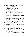- <span id="page-37-10"></span>[Ben99] C. Benzmüller. Extensional Higher-order Paramodulation and RUE-Resolution. In H. Ganzinger, editor, *Proceedings of the 16th International Conference on Automated Deduction*, number 1632 in Lecture Notes in Artificial Intelligence, pages 399–413. Springer-Verlag, 1999.
- <span id="page-37-5"></span>[BFN96] P. Baumgartner, U. Furbach, and I. Niemelä. Hyper Tableaux. In J. Alferes, L. Pereira, and E. Orlowska, editors, *Proceedings of JELIA'96: European Workshop on Logic in Artificial Intelligence*, number 1126 in Lecture Notes in Artificial Intelligence, pages 1–17. Springer-Verlag, 1996.
- <span id="page-37-3"></span>[BFP07] P. Baumgartner, U. Furbach, and B. Pelzer. Hyper Tableaux with Equality. In F. Pfenning, editor, *Proceedings of the 21st International Conference on Automated Deduction*, number 4603 in Lecture Notes in Artificial Intelligence, pages 492–507. Springer-Verlag, 2007.
- <span id="page-37-1"></span>[BFT04] P. Baumgartner, A. Fuchs, and C. Tinelli. Darwin - A Theorem Prover for the Model Evolution Calculus. In G. Sutcliffe, S. Schulz, and T. Tammet, editors, *Proceedings of the Workshop on Empirically Successful First Order Reasoning, 2nd International Joint Conference on Automated Reasoning*, 2004.
- <span id="page-37-2"></span>[BFT06] P. Baumgartner, A. Fuchs, and C. Tinelli. Implementing the Model Evolution Calculus. *International Journal on Artificial Intelligence Tools*, 15(1):21–52, 2006.
- <span id="page-37-4"></span>[BG98] L. Bachmair and H. Ganzinger. Equational Reasoning in Saturation-Based Theorem Proving. In W. Bibel and P.H. Schmitt, editors, *Automated Deduction, A Basis for Applications*, volume I Foundations - Calculi and Methods of *Applied Logic Series*, pages 352–397. Kluwer Academic Publishers, 1998.
- <span id="page-37-6"></span>[Bib87] W. Bibel. *Automated Theorem Proving*. Vieweg and Sohn, 1987.
- <span id="page-37-15"></span>[Bis99] M. Bishop. A Breadth-First Strategy for Mating Search. In H. Ganzinger, editor, *Proceedings of the 16th International Conference on Automated Deduction*, number 1632 in Lecture Notes in Artificial Intelligence, pages 359–373. Springer-Verlag, 1999.
- <span id="page-37-7"></span>[BK98] C. Benzmüller and M. Kohlhase. LEO - A Higher-Order Theorem Prover. In C. Kirchner and H. Kirchner, editors, *Proceedings of the 15th International Conference on Automated Deduction*, number 1421 in Lecture Notes in Artificial Intelligence, pages 139–143. Springer-Verlag, 1998.
- <span id="page-37-8"></span>[BPTF07] C. Benzmüller, L. Paulson, F. Theiss, and A. Fietzke. Progress Report on LEO-II - An Automatic Theorem Prover for Higher-Order Logic. In K. Schneider and J. Brandt, editors, *Proceedings of the 20th International Conference on Theorem Proving in Higher Order Logics*, pages 33–48, 2007.
- <span id="page-37-9"></span>[BPTF08] C. Benzmüller, L. Paulson, F. Theiss, and A. Fietzke. LEO-II - A Cooperative Automatic Theorem Prover for Higher-Order Logic. In P. Baumgartner, A. Armando, and D. Gilles, editors, *Proceedings of the 4th International Joint Conference on Automated Reasoning*, number 5195 in Lecture Notes in Artificial Intelligence, pages 162–170. Springer-Verlag, 2008.
- <span id="page-37-16"></span>[Bro02] C.E. Brown. Solving for Set Variables in Higher-Order Theorem Proving. In A. Voronkov, editor, *Proceedings of the 18th International Conference on Automated Deduction*, number 2392 in Lecture Notes in Artificial Intelligence, pages 408–422. Springer-Verlag, 2002.
- <span id="page-37-14"></span>[Bro07] C. E. Brown. *Automated Reasoning in Higher-Order Logic: Set Comprehension and Extensionality in Church's Type Theory*. Number 10 in Studies in Logic: Logic and Cognitive Systems. College Publications, 2007.
- <span id="page-37-12"></span>[BRS08] C. Benzmüller, F. Rabe, and G. Sutcliffe. THF0 - The Core TPTP Language for Classical Higher-Order Logic. In P. Baumgartner, A. Armando, and D. Gilles, editors, *Proceedings of the 4th International Joint Conference on Automated Reasoning*, number 5195 in Lecture Notes in Artificial Intelligence, pages 491–506. Springer-Verlag, 2008.
- <span id="page-37-11"></span>[BS09] C. E. Brown and G. Smolka. Terminating Tableaux for the Basic Fragment of Simple Type Theory. In M. Giese and A. Waaler, editors, *Proceedings of the 18th International Conference on Automated Reasoning with Analytic Tableaux and Related Methods*, number 5697 in Lecture Notes in Artificial Intelligence, pages 138–151. Springer-Verlag, 2009.
- <span id="page-37-13"></span>[BSJK08] C. Benzmüller, V. Sorge, M. Jamnik, and M. Kerber. Combined Reasoning by Automated Cooperation. *Journal of Applied Logic*, 6(3):318–342, 2008.
- <span id="page-37-0"></span>[BT03] P. Baumgartner and C. Tinelli. The Model Evolution Calculus. In F. Baader, editor, *Proceedings of the 19th International Conference on Automated Deduction*, number 2741 in Lecture Notes in Artificial Intelligence, pages 350–364. Springer-Verlag, 2003.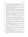- <span id="page-38-2"></span>[BT05] P. Baumgartner and C. Tinelli. The Model Evolution Calculus with Equality. In R. Nieuwenhuis, editor, *Proceedings of the 20th International Conference on Automated Deduction*, number 3632 in Lecture Notes in Artificial Intelligence, pages 392–408. Springer-Verlag, 2005.
- <span id="page-38-8"></span>[BT07] C. Barrett and C. Tinelli. CVC3. In W. Damm and H. Hermanns, editors, *Proceedings of the 19th International Conference on Computer Aided Verification*, number 4590 in Lecture Notes in Computer Science, pages 298–302. Springer-Verlag, 2007.
- <span id="page-38-12"></span>[CS03] K. Claessen and N. Sörensson. New Techniques that Improve MACE-style Finite Model Finding. In P. Baumgartner and C. Fermueller, editors, *Proceedings of the CADE-19 Workshop: Model Computation - Principles, Algorithms, Applications*, 2003.
- <span id="page-38-7"></span>[ES04] N. Eén and N. Sörensson. An Extensible SAT-solver. In E. Giunchiglia and A. Tacchella, editors, *Proceedings of the 6th International Conference on Theory and Applications of Satisfiability Testing*, number 2919 in Lecture Notes in Computer Science, pages 502–518. Springer-Verlag, 2004.
- <span id="page-38-3"></span>[GK03] H. Ganzinger and K. Korovin. New Directions in Instantiation-Based Theorem Proving. In P. Kolaitis, editor, *Proceedings of the 18th IEEE Symposium on Logic in Computer Science*, pages 55–64. IEEE Press, 2003.
- <span id="page-38-6"></span>[GK04] H. Ganzinger and K. Korovin. Integrating Equational Reasoning into Instantiation-Based Theorem Proving. In J. Marcinkowski and A. Tarlecki, editors, *Proceedings of the 18th International Workshop on Computer Science Logic, 13th Annual Conference of the EACSL*, number 3210 in Lecture Notes in Computer Science, pages 71–84. Springer-Verlag, 2004.
- <span id="page-38-0"></span>[GS96] M. Greiner and M. Schramm. A Probablistic Stopping Criterion for the Evaluation of Benchmarks. Technical Report I9638, Institut für Informatik, Technische Universität München, München, Germany, 1996.
- <span id="page-38-14"></span>[Hil03] T. Hillenbrand. Citius altius fortius: Lessons Learned from the Theorem Prover Waldmeister. In I. Dahn and L. Vigneron, editors, *Proceedings of the 4th International Workshop on First-Order Theorem Proving*, number 86.1 in Electronic Notes in Theoretical Computer Science, 2003.
- <span id="page-38-15"></span>[HJL99] T. Hillenbrand, A. Jaeger, and B. Löchner. Waldmeister - Improvements in Performance and Ease of Use. In H. Ganzinger, editor, *Proceedings of the 16th International Conference on Automated Deduction*, number 1632 in Lecture Notes in Artificial Intelligence, pages 232–236. Springer-Verlag, 1999.
- <span id="page-38-10"></span>[Hur03] J. Hurd. First-Order Proof Tactics in Higher-Order Logic Theorem Provers. In M. Archer, B. Di Vito, and C. Munoz, editors, *Proceedings of the 1st International Workshop on Design and Application of Strategies/Tactics in Higher Order Logics*, number NASA/CP-2003-212448 in NASA Technical Reports, pages 56–68, 2003.
- <span id="page-38-13"></span>[Iss90] S. Issar. Path-Focused Duplication: A Search Procedure for General Matings. In Swartout W. Dietterich T., editor, *Proceedings of the 8th National Conference on Artificial Intelligence* , pages 221–226. American Association for Artificial Intelligence / MIT Press, 1990.
- <span id="page-38-4"></span>[Kor08a] K. Korovin. An Invitation to Instantiation-Based Reasoning: From Theory to Practice. In A. Podelski, A. Voronkov, and R. Wilhelm, editors, *Volume in Memoriam of Harald Ganzinger*. Springer-Verlag, 2008.
- <span id="page-38-5"></span>[Kor08b] K. Korovin. iProver - An Instantiation-Based Theorem Prover for First-order Logic (System Description). In P. Baumgartner, A. Armando, and D. Gilles, editors, *Proceedings of the 4th International Joint Conference on Automated Reasoning*, number 5195 in Lecture Notes in Artificial Intelligence, pages 292–298, 2008.
- <span id="page-38-1"></span>[Loe04] B. Loechner. What to Know When Implementing LPO. In G. Sutcliffe, S. Schulz, and T. Tammet, editors, *Proceedings of the Workshop on Empirically Successful First Order Reasoning, 2nd International Joint Conference on Automated Reasoning*, 2004.
- <span id="page-38-9"></span>[Lov78] D.W. Loveland. *Automated Theorem Proving : A Logical Basis*. Elsevier Science, 1978.
- <span id="page-38-11"></span>[LS01] R. Letz and G. Stenz. System Description: DCTP - A Disconnection Calculus Theorem Prover. In R. Gore, A. Leitsch, and T. Nipkow, editors, *Proceedings of the International Joint Conference on Automated Reasoning*, number 2083 in Lecture Notes in Artificial Intelligence, pages 381–385. Springer-Verlag, 2001.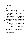- <span id="page-39-19"></span>[McC03a] W.W. McCune. Mace4 Reference Manual and Guide. Technical Report ANL/MCS-TM-264, Argonne National Laboratory, Argonne, USA, 2003.
- <span id="page-39-8"></span>[McC03b] W.W. McCune. Otter 3.3 Reference Manual. Technical Report ANL/MSC-TM-263, Argonne National Laboratory, Argonne, USA, 2003.
- <span id="page-39-21"></span>[Mil87] D. Miller. A Compact Representation of Proofs. *Studia Logica*, 46(4):347–370, 1987.
- <span id="page-39-20"></span>[MW97] W.W. McCune and L. Wos. Otter: The CADE-13 Competition Incarnations. *Journal of Automated Reasoning*, 18(2):211–220, 1997.
- <span id="page-39-10"></span>[Nip89] T. Nipkow. Equational Reasoning in Isabelle. *Science of Computer Programming*, 12(2):123–149, 1989.
- <span id="page-39-9"></span>[NPW02] T. Nipkow, L. Paulson, and M. Wenzel. *Isabelle/HOL: A Proof Assistant for Higher-Order Logic*. Number 2283 in Lecture Notes in Computer Science. Springer-Verlag, 2002.
- <span id="page-39-13"></span>[OB03] J. Otten and W. Bibel. leanCoP: Lean Connection-Based Theorem Proving. *Journal of Symbolic Computation*, 36(1-2):139–161, 2003.
- <span id="page-39-15"></span>[Ott08a] J. Otten. Restricting Backtracking in Connection Calculi. Technical Report Technical Report, Institut für Informatik, University of Potsdam, Potsdam, Germany, 2008.
- <span id="page-39-14"></span>[Ott08b] J. Otten. leanCoP 2.0 and ileancop 1.2: High Performance Lean Theorem Proving in Classical and Intuitionistic Logic. In P. Baumgartner, A. Armando, and D. Gilles, editors, *Proceedings of the 4th International Joint Conference on Automated Reasoning*, number 5195 in Lecture Notes in Artificial Intelligence, pages 283–291, 2008.
- <span id="page-39-12"></span>[Pau99] L. Paulson. A Generic Tableau Prover and its Integration with Isabelle. *Artificial Intelligence*, 5(3):73– 87, 1999.
- <span id="page-39-22"></span>[Pfe87] F. Pfenning. *Proof Transformations in Higher-Order Logic*. PhD thesis, Carnegie-Mellon University, Pittsburg, USA, 1987.
- <span id="page-39-11"></span>[PN94] L.C. Paulson and T. Nipkow. *Isabelle: A Generic Theorem Prover*. Number 828 in Lecture Notes in Computer Science. Springer-Verlag, 1994.
- <span id="page-39-7"></span>[PW07] B. Pelzer and C. Wernhard. System Description: E-KRHyper. In F. Pfenning, editor, *Proceedings of the 21st International Conference on Automated Deduction*, number 4603 in Lecture Notes in Artificial Intelligence, pages 508–513. Springer-Verlag, 2007.
- <span id="page-39-18"></span>[PZ00] D.A. Plaisted and Y. Zhu. Ordered Semantic Hyper-linking. *Journal of Automated Reasoning*, 25(3):167–217, 2000.
- <span id="page-39-16"></span>[SBA06] J. Siekmann, C. Benzmüller, and S. Autexier. Computer Supported Mathematics with OMEGA. Jour*nal of Applied Logic*, 4(4):533–559, 2006.
- <span id="page-39-17"></span>[SBBT09] G. Sutcliffe, C. Benzmüller, C. E. Brown, and F. Theiss. Progress in the Development of Automated Theorem Proving for Higher-order Logic. In R. Schmidt, editor, *Proceedings of the 22nd International Conference on Automated Deduction*, number 5663 in Lecture Notes in Artificial Intelligence, pages 116–130. Springer-Verlag, 2009.
- <span id="page-39-5"></span>[Sch02] S. Schulz. E: A Brainiac Theorem Prover. *AI Communications*, 15(2-3):111–126, 2002.
- <span id="page-39-6"></span>[Sch04a] S. Schulz. Simple and Efficient Clause Subsumption with Feature Vector Indexing. In G. Sutcliffe, S. Schulz, and T. Tammet, editors, *Proceedings of the Workshop on Empirically Successful First Order Reasoning, 2nd International Joint Conference on Automated Reasoning*, 2004.
- <span id="page-39-4"></span>[Sch04b] S. Schulz. System Abstract: E 0.81. In M. Rusinowitch and D. Basin, editors, *Proceedings of the 2nd International Joint Conference on Automated Reasoning*, number 3097 in Lecture Notes in Artificial Intelligence, pages 223–228, 2004.
- <span id="page-39-0"></span>[SS97a] G. Sutcliffe and C.B. Suttner, editors. *Special Issue: The CADE-13 ATP System Competition*, volume 18, 1997.
- <span id="page-39-2"></span>[SS97b] G. Sutcliffe and C.B. Suttner. The Procedures of the CADE-13 ATP System Competition. *Journal of Automated Reasoning*, 18(2):163–169, 1997.
- <span id="page-39-1"></span>[SS97c] C.B. Suttner and G. Sutcliffe. The Design of the CADE-13 ATP System Competition. *Journal of Automated Reasoning*, 18(2):139–162, 1997.
- <span id="page-39-3"></span>[SS98a] G. Sutcliffe and C. Suttner. The CADE-14 ATP System Competition. Technical Report 98/01, Depart-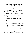<span id="page-40-28"></span><span id="page-40-27"></span><span id="page-40-26"></span><span id="page-40-25"></span><span id="page-40-24"></span><span id="page-40-23"></span><span id="page-40-22"></span><span id="page-40-21"></span><span id="page-40-20"></span><span id="page-40-19"></span><span id="page-40-18"></span><span id="page-40-17"></span><span id="page-40-16"></span><span id="page-40-15"></span><span id="page-40-14"></span><span id="page-40-13"></span><span id="page-40-12"></span><span id="page-40-11"></span><span id="page-40-10"></span><span id="page-40-9"></span><span id="page-40-8"></span><span id="page-40-7"></span><span id="page-40-6"></span><span id="page-40-5"></span><span id="page-40-4"></span><span id="page-40-3"></span><span id="page-40-2"></span><span id="page-40-1"></span><span id="page-40-0"></span>

|          | ment of Computer Science, James Cook University, Townsville, Australia, 1998.                                                                                                                                                                                                                                                                                                              |
|----------|--------------------------------------------------------------------------------------------------------------------------------------------------------------------------------------------------------------------------------------------------------------------------------------------------------------------------------------------------------------------------------------------|
| [SS98b]  | G. Sutcliffe and C.B. Suttner. Proceedings of the CADE-15 ATP System Competition. Lindau, Ger-<br>many, 1998.                                                                                                                                                                                                                                                                              |
| [SS98c]  | C.B. Suttner and G. Sutcliffe. The CADE-14 ATP System Competition. Journal of Automated Rea-<br>soning, 21(1):99-134, 1998.                                                                                                                                                                                                                                                                |
| [SS99]   | G. Sutcliffe and C.B. Suttner. The CADE-15 ATP System Competition. Journal of Automated Rea-<br>soning, 23(1):1-23, 1999.                                                                                                                                                                                                                                                                  |
| [SS01]   | G. Sutcliffe and C.B. Suttner. Evaluating General Purpose Automated Theorem Proving Systems.<br>Artificial Intelligence, 131(1-2):39-54, 2001.                                                                                                                                                                                                                                             |
| [SS03]   | G. Sutcliffe and C. Suttner. The CADE-18 ATP System Competition. Journal of Automated Reasoning,<br>$31(1):23-32,2003.$                                                                                                                                                                                                                                                                    |
| [SS04]   | G. Sutcliffe and C. Suttner. The CADE-19 ATP System Competition. AI Communications, 17(3):103–<br>182, 2004.                                                                                                                                                                                                                                                                               |
| [SSP02]  | G. Sutcliffe, C. Suttner, and F.J. Pelletier. The IJCAR ATP System Competition. Journal of Automated<br>Reasoning, 28(3):307-320, 2002.                                                                                                                                                                                                                                                    |
| [Sut99]  | G. Sutcliffe. Proceedings of the CADE-16 ATP System Competition. Trento, Italy, 1999.                                                                                                                                                                                                                                                                                                      |
| [Sut00a] | G. Sutcliffe. Proceedings of the CADE-17 ATP System Competition. Pittsburgh, USA, 2000.                                                                                                                                                                                                                                                                                                    |
| [Sub00b] | G. Sutcliffe. The CADE-16 ATP System Competition. Journal of Automated Reasoning, 24(3):371-<br>396, 2000.                                                                                                                                                                                                                                                                                 |
| [Sut01a] | G. Sutcliffe. Proceedings of the IJCAR ATP System Competition. Siena, Italy, 2001.                                                                                                                                                                                                                                                                                                         |
| [Sub1b]  | G. Sutcliffe. The CADE-17 ATP System Competition. Journal of Automated Reasoning, 27(3):227–<br>250, 2001.                                                                                                                                                                                                                                                                                 |
| Sut02]   | G. Sutcliffe. Proceedings of the CADE-18 ATP System Competition. Copenhagen, Denmark, 2002.                                                                                                                                                                                                                                                                                                |
| [Sut03]  | G. Sutcliffe. Proceedings of the CADE-19 ATP System Competition. Miami, USA, 2003.                                                                                                                                                                                                                                                                                                         |
| [Sub4]   | G. Sutcliffe. Proceedings of the 2nd IJCAR ATP System Competition. Cork, Ireland, 2004.                                                                                                                                                                                                                                                                                                    |
| [Sut05a] | G. Sutcliffe. Proceedings of the CADE-20 ATP System Competition. Tallinn, Estonia, 2005.                                                                                                                                                                                                                                                                                                   |
| [Sut05b] | G. Sutcliffe. The IJCAR-2004 Automated Theorem Proving Competition. AI Communications,<br>18(1):33-40, 2005.                                                                                                                                                                                                                                                                               |
| [Sub6a]  | G. Sutcliffe. Proceedings of the 3rd IJCAR ATP System Competition. Seattle, USA, 2006.                                                                                                                                                                                                                                                                                                     |
| [Sut06b] | The CADE-20 Automated Theorem Proving Competition. AI Communications,<br>G. Sutcliffe.<br>19(2):173-181, 2006.                                                                                                                                                                                                                                                                             |
| [Sut07a] | G. Sutcliffe. Proceedings of the CADE-21 ATP System Competition. Bremen, Germany, 2007.                                                                                                                                                                                                                                                                                                    |
| [Sut07b] | The 3rd IJCAR Automated Theorem Proving Competition. AI Communications,<br>G. Sutcliffe.<br>20(2):117-126, 2007.                                                                                                                                                                                                                                                                           |
| [Sub8a]  | G. Sutcliffe. Proceedings of the 4th IJCAR ATP System Competition. Sydney, Australia, 2008.                                                                                                                                                                                                                                                                                                |
| [Sut08b] | G. Sutcliffe. The CADE-21 Automated Theorem Proving System Competition. AI Communications,<br>$21(1):71-82,2008.$                                                                                                                                                                                                                                                                          |
| [Sut08c] | G. Sutcliffe. The SZS Ontologies for Automated Reasoning Software. In G. Sutcliffe, P. Rudnicki,<br>R. Schmidt, B. Konev, and S. Schulz, editors, Proceedings of the LPAR Workshops: Knowledge Ex-<br>change: Automated Provers and Proof Assistants, and The 7th International Workshop on the Imple-<br>mentation of Logics, number 418 in CEUR Workshop Proceedings, pages 38-49, 2008. |
| [Sut09a] | G. Sutcliffe. The 4th IJCAR Automated Theorem Proving System Competition - CASC. AI Commu-<br>nications, 22(1):59-72, 2009.                                                                                                                                                                                                                                                                |
| [Sut09b] | G. Sutcliffe. The TPTP Problem Library and Associated Infrastructure. The FOF and CNF Parts,<br>v3.5.0. Journal of Automated Reasoning, To appear, 2009.                                                                                                                                                                                                                                   |
| [TB06]   | F. Theiss and C. Benzmüller, editors. Proceedings of the 6th International Workshop on the Implemen-<br>tation of Logics, number 212 in CEUR Workshop Proceedings, 2006.                                                                                                                                                                                                                   |
| [Ull89]  | J. Ullman. Principles of Database and Knowledge-Base Bystems. Computer Science Press, Inc., 1989.                                                                                                                                                                                                                                                                                          |
| [Wer03]  | C. Wernhard. System Description: KRHyper. Technical Report Fachberichte Informatik 14-2003,                                                                                                                                                                                                                                                                                                |